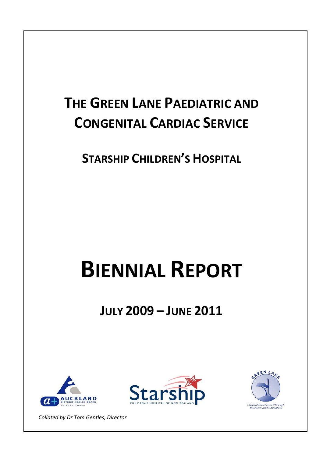## **THE GREEN LANE PAEDIATRIC AND CONGENITAL CARDIAC SERVICE**

**STARSHIP CHILDREN'S HOSPITAL**

# **BIENNIAL REPORT**

**JULY 2009 – JUNE 2011**







*Collated by Dr Tom Gentles, Director*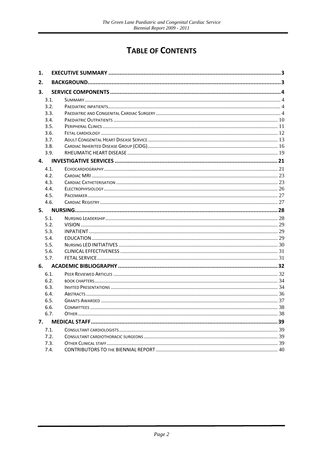## **TABLE OF CONTENTS**

| 1.   |  |
|------|--|
| 2.   |  |
| 3.   |  |
| 3.1. |  |
| 3.2. |  |
| 3.3. |  |
| 3.4. |  |
| 3.5. |  |
| 3.6. |  |
| 3.7. |  |
| 3.8. |  |
| 3.9. |  |
| 4.   |  |
| 4.1. |  |
| 4.2. |  |
| 4.3. |  |
| 4.4. |  |
| 4.5. |  |
| 4.6. |  |
| 5.   |  |
| 5.1. |  |
| 5.2. |  |
| 5.3. |  |
| 5.4. |  |
| 5.5. |  |
| 5.6. |  |
| 5.7. |  |
| 6.   |  |
| 6.1. |  |
| 6.2. |  |
| 6.3. |  |
| 6.4. |  |
| 6.5. |  |
| 6.6. |  |
| 6.7. |  |
| 7.   |  |
| 7.1. |  |
| 7.2. |  |
| 7.3. |  |
| 7.4. |  |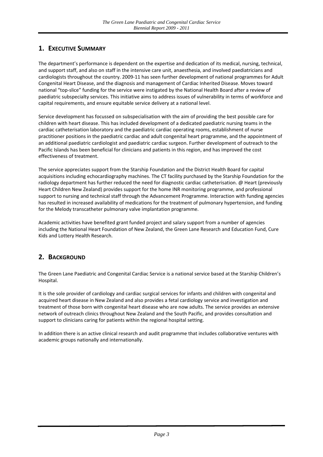#### <span id="page-2-0"></span>**1. EXECUTIVE SUMMARY**

The department's performance is dependent on the expertise and dedication of its medical, nursing, technical, and support staff, and also on staff in the intensive care unit, anaesthesia, and involved paediatricians and cardiologists throughout the country. 2009‐11 has seen further development of national programmes for Adult Congenital Heart Disease, and the diagnosis and management of Cardiac Inherited Disease. Moves toward national "top‐slice" funding for the service were instigated by the National Health Board after a review of paediatric subspecialty services. This initiative aims to address issues of vulnerability in terms of workforce and capital requirements, and ensure equitable service delivery at a national level.

Service development has focussed on subspecialisation with the aim of providing the best possible care for children with heart disease. This has included development of a dedicated paediatric nursing teams in the cardiac catheterisation laboratory and the paediatric cardiac operating rooms, establishment of nurse practitioner positions in the paediatric cardiac and adult congenital heart programme, and the appointment of an additional paediatric cardiologist and paediatric cardiac surgeon. Further development of outreach to the Pacific Islands has been beneficial for clinicians and patients in this region, and has improved the cost effectiveness of treatment.

The service appreciates support from the Starship Foundation and the District Health Board for capital acquisitions including echocardiography machines. The CT facility purchased by the Starship Foundation for the radiology department has further reduced the need for diagnostic cardiac catheterisation. @ Heart (previously Heart Children New Zealand) provides support for the home INR monitoring programme, and professional support to nursing and technical staff through the Advancement Programme. Interaction with funding agencies has resulted in increased availability of medications for the treatment of pulmonary hypertension, and funding for the Melody transcatheter pulmonary valve implantation programme.

Academic activities have benefited grant funded project and salary support from a number of agencies including the National Heart Foundation of New Zealand, the Green Lane Research and Education Fund, Cure Kids and Lottery Health Research.

#### <span id="page-2-1"></span>**2. BACKGROUND**

The Green Lane Paediatric and Congenital Cardiac Service is a national service based at the Starship Children's Hospital.

It is the sole provider of cardiology and cardiac surgical services for infants and children with congenital and acquired heart disease in New Zealand and also provides a fetal cardiology service and investigation and treatment of those born with congenital heart disease who are now adults. The service provides an extensive network of outreach clinics throughout New Zealand and the South Pacific, and provides consultation and support to clinicians caring for patients within the regional hospital setting.

In addition there is an active clinical research and audit programme that includes collaborative ventures with academic groups nationally and internationally.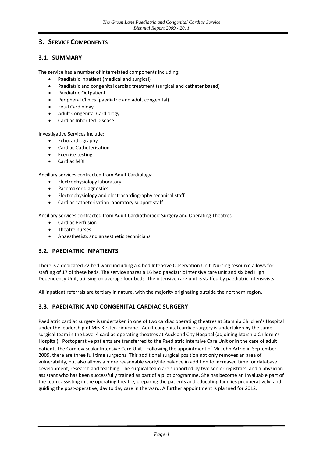#### <span id="page-3-0"></span>**3. SERVICE COMPONENTS**

#### <span id="page-3-1"></span>**3.1. SUMMARY**

The service has a number of interrelated components including:

- Paediatric inpatient (medical and surgical)
- Paediatric and congenital cardiac treatment (surgical and catheter based)
- Paediatric Outpatient
- Peripheral Clinics (paediatric and adult congenital)
- **•** Fetal Cardiology
- Adult Congenital Cardiology
- Cardiac Inherited Disease

Investigative Services include:

- Echocardiography
- Cardiac Catheterisation
- Exercise testing
- Cardiac MRI

Ancillary services contracted from Adult Cardiology:

- **•** Electrophysiology laboratory
- Pacemaker diagnostics
- Electrophysiology and electrocardiography technical staff
- Cardiac catheterisation laboratory support staff

Ancillary services contracted from Adult Cardiothoracic Surgery and Operating Theatres:

- Cardiac Perfusion
- Theatre nurses
- Anaesthetists and anaesthetic technicians

#### <span id="page-3-2"></span>**3.2. PAEDIATRIC INPATIENTS**

There is a dedicated 22 bed ward including a 4 bed Intensive Observation Unit. Nursing resource allows for staffing of 17 of these beds. The service shares a 16 bed paediatric intensive care unit and six bed High Dependency Unit, utilising on average four beds. The intensive care unit is staffed by paediatric intensivists.

All inpatient referrals are tertiary in nature, with the majority originating outside the northern region.

#### <span id="page-3-3"></span>**3.3. PAEDIATRIC AND CONGENITAL CARDIAC SURGERY**

Paediatric cardiac surgery is undertaken in one of two cardiac operating theatres at Starship Children's Hospital under the leadership of Mrs Kirsten Finucane. Adult congenital cardiac surgery is undertaken by the same surgical team in the Level 4 cardiac operating theatres at Auckland City Hospital (adjoining Starship Children's Hospital). Postoperative patients are transferred to the Paediatric Intensive Care Unit or in the case of adult patients the Cardiovascular Intensive Care Unit. Following the appointment of Mr John Artrip in September 2009, there are three full time surgeons. This additional surgical position not only removes an area of vulnerability, but also allows a more reasonable work/life balance in addition to increased time for database development, research and teaching. The surgical team are supported by two senior registrars, and a physician assistant who has been successfully trained as part of a pilot programme. She has become an invaluable part of the team, assisting in the operating theatre, preparing the patients and educating families preoperatively, and guiding the post‐operative, day to day care in the ward. A further appointment is planned for 2012.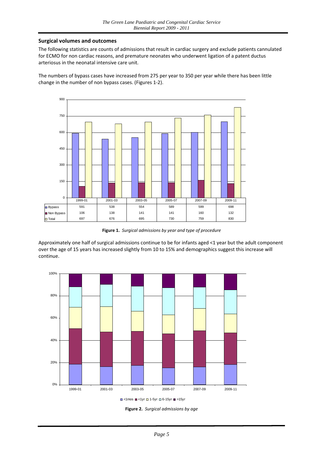#### **Surgical volumes and outcomes**

The following statistics are counts of admissions that result in cardiac surgery and exclude patients cannulated for ECMO for non cardiac reasons, and premature neonates who underwent ligation of a patent ductus arteriosus in the neonatal intensive care unit.

The numbers of bypass cases have increased from 275 per year to 350 per year while there has been little change in the number of non bypass cases. (Figures 1‐2).



**Figure 1.** *Surgical admissions by year and type of procedure*

Approximately one half of surgical admissions continue to be for infants aged <1 year but the adult component over the age of 15 years has increased slightly from 10 to 15% and demographics suggest this increase will continue.



**Figure 2.** *Surgical admissions by age*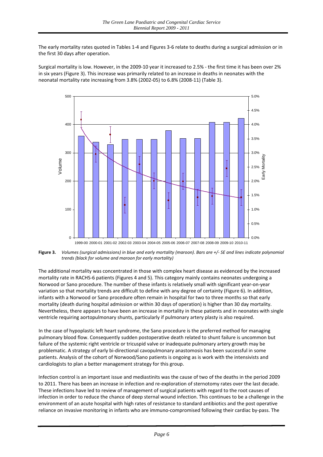The early mortality rates quoted in Tables 1‐4 and Figures 3‐6 relate to deaths during a surgical admission or in the first 30 days after operation.

Surgical mortality is low. However, in the 2009‐10 year it increased to 2.5% ‐ the first time it has been over 2% in six years (Figure 3). This increase was primarily related to an increase in deaths in neonates with the neonatal mortality rate increasing from 3.8% (2002‐05) to 6.8% (2008‐11) (Table 3).



Figure 3. Volumes (surgical admissions) in blue and early mortality (maroon). Bars are +/- SE and lines indicate polynomial *trends (black for volume and maroon for early mortality)*

The additional mortality was concentrated in those with complex heart disease as evidenced by the increased mortality rate in RACHS‐6 patients (Figures 4 and 5). This category mainly contains neonates undergoing a Norwood or Sano procedure. The number of these infants is relatively small with significant year‐on‐year variation so that mortality trends are difficult to define with any degree of certainty (Figure 6). In addition, infants with a Norwood or Sano procedure often remain in hospital for two to three months so that early mortality (death during hospital admission or within 30 days of operation) is higher than 30 day mortality. Nevertheless, there appears to have been an increase in mortality in these patients and in neonates with single ventricle requiring aortopulmonary shunts, particularly if pulmonary artery plasty is also required.

In the case of hypoplastic left heart syndrome, the Sano procedure is the preferred method for managing pulmonary blood flow. Consequently sudden postoperative death related to shunt failure is uncommon but failure of the systemic right ventricle or tricuspid valve or inadequate pulmonary artery growth may be problematic. A strategy of early bi-directional cavopulmonary anastomosis has been successful in some patients. Analysis of the cohort of Norwood/Sano patients is ongoing as is work with the intensivists and cardiologists to plan a better management strategy for this group.

Infection control is an important issue and mediastinits was the cause of two of the deaths in the period 2009 to 2011. There has been an increase in infection and re‐exploration of sternotomy rates over the last decade. These infections have led to review of management of surgical patients with regard to the root causes of infection in order to reduce the chance of deep sternal wound infection. This continues to be a challenge in the environment of an acute hospital with high rates of resistance to standard antibiotics and the post operative reliance on invasive monitoring in infants who are immuno-compromised following their cardiac by-pass. The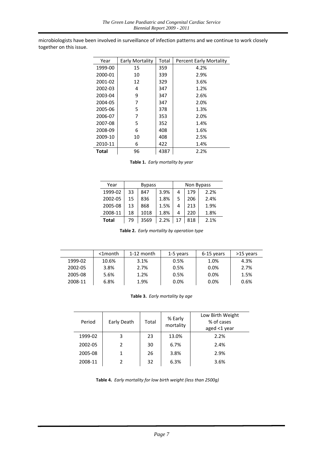microbiologists have been involved in surveillance of infection patterns and we continue to work closely together on this issue.

| Year    | Early Mortality | Total | <b>Percent Early Mortality</b> |
|---------|-----------------|-------|--------------------------------|
| 1999-00 | 15              | 359   | 4.2%                           |
| 2000-01 | 10              | 339   | 2.9%                           |
| 2001-02 | 12              | 329   | 3.6%                           |
| 2002-03 | 4               | 347   | 1.2%                           |
| 2003-04 | 9               | 347   | 2.6%                           |
| 2004-05 | 7               | 347   | 2.0%                           |
| 2005-06 | 5               | 378   | 1.3%                           |
| 2006-07 | 7               | 353   | 2.0%                           |
| 2007-08 | 5               | 352   | 1.4%                           |
| 2008-09 | 6               | 408   | 1.6%                           |
| 2009-10 | 10              | 408   | 2.5%                           |
| 2010-11 | 6               | 422   | 1.4%                           |
| Total   | 96              | 4387  | 2.2%                           |

**Table 1.** *Early mortality by year*

| Year         | <b>Bypass</b> |      |      | Non Bypass |     |      |
|--------------|---------------|------|------|------------|-----|------|
| 1999-02      | 33            | 847  | 3.9% | 4          | 179 | 2.2% |
| 2002-05      | 15            | 836  | 1.8% | 5          | 206 | 2.4% |
| 2005-08      | 13            | 868  | 1.5% | 4          | 213 | 1.9% |
| 2008-11      | 18            | 1018 | 1.8% | 4          | 220 | 1.8% |
| <b>Total</b> | 79            | 3569 | 2.2% | 17         | 818 | 2.1% |

**Table 2.** *Early mortality by operation type*

|         | <1month | $1-12$ month | 1-5 years | 6-15 vears | >15 years |
|---------|---------|--------------|-----------|------------|-----------|
| 1999-02 | 10.6%   | 3.1%         | 0.5%      | 1.0%       | 4.3%      |
| 2002-05 | 3.8%    | 2.7%         | 0.5%      | 0.0%       | 2.7%      |
| 2005-08 | 5.6%    | 1.2%         | 0.5%      | 0.0%       | 1.5%      |
| 2008-11 | 6.8%    | 1.9%         | $0.0\%$   | 0.0%       | 0.6%      |

|  | Table 3. Early mortality by age |
|--|---------------------------------|
|--|---------------------------------|

| Period  | Early Death | Total | % Early<br>mortality | Low Birth Weight<br>% of cases<br>aged <1 year |
|---------|-------------|-------|----------------------|------------------------------------------------|
| 1999-02 | 3           | 23    | 13.0%                | 2.2%                                           |
| 2002-05 |             | 30    | 6.7%                 | 2.4%                                           |
| 2005-08 |             | 26    | 3.8%                 | 2.9%                                           |
| 2008-11 |             | 32    | 6.3%                 | 3.6%                                           |

**Table 4.** *Early mortality for low birth weight (less than 2500g)*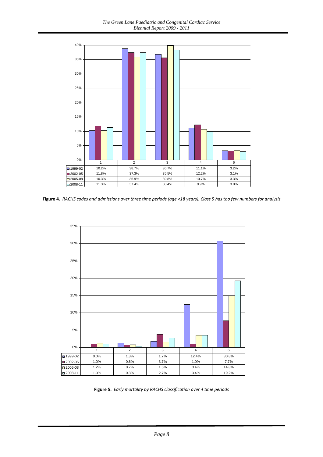

Figure 4. RACHS codes and admissions over three time periods (age <18 years). Class 5 has too few numbers for analysis



**Figure 5.** *Early mortality by RACHS classification over 4 time periods*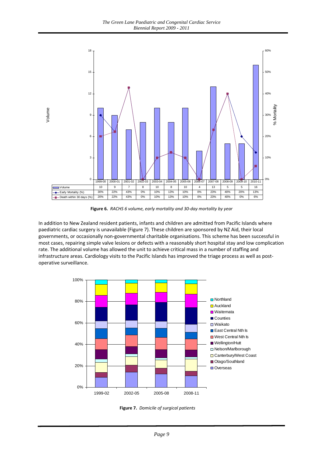

Figure 6. RACHS 6 volume, early mortality and 30-day mortality by year

In addition to New Zealand resident patients, infants and children are admitted from Pacific Islands where paediatric cardiac surgery is unavailable (Figure 7). These children are sponsored by NZ Aid, their local governments, or occasionally non‐governmental charitable organisations. This scheme has been successful in most cases, repairing simple valve lesions or defects with a reasonably short hospital stay and low complication rate. The additional volume has allowed the unit to achieve critical mass in a number of staffing and infrastructure areas. Cardiology visits to the Pacific Islands has improved the triage process as well as postoperative surveillance.



**igure 7:** *Domicile of surgical patients* **Figure 7.** *Domicile of surgical patients*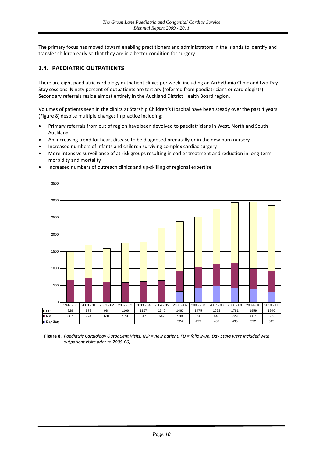The primary focus has moved toward enabling practitioners and administrators in the islands to identify and transfer children early so that they are in a better condition for surgery.

#### <span id="page-9-0"></span>**3.4. PAEDIATRIC OUTPATIENTS**

There are eight paediatric cardiology outpatient clinics per week, including an Arrhythmia Clinic and two Day Stay sessions. Ninety percent of outpatients are tertiary (referred from paediatricians or cardiologists). Secondary referrals reside almost entirely in the Auckland District Health Board region.

Volumes of patients seen in the clinics at Starship Children's Hospital have been steady over the past 4 years (Figure 8) despite multiple changes in practice including:

- Primary referrals from out of region have been devolved to paediatricians in West, North and South Auckland
- An increasing trend for heart disease to be diagnosed prenatally or in the new born nursery
- Increased numbers of infants and children surviving complex cardiac surgery
- More intensive surveillance of at risk groups resulting in earlier treatment and reduction in long‐term morbidity and mortality



Increased numbers of outreach clinics and up‐skilling of regional expertise

Figure 8. Paediatric Cardiology Outpatient Visits. (NP = new patient, FU = follow-up. Day Stays were included with *outpatient visits prior to 2005‐06)*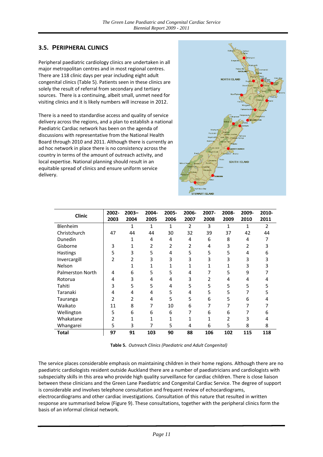#### <span id="page-10-0"></span>**3.5. PERIPHERAL CLINICS**

Peripheral paediatric cardiology clinics are undertaken in all major metropolitan centres and in most regional centres. There are 118 clinic days per year including eight adult congenital clinics (Table 5). Patients seen in these clinics are solely the result of referral from secondary and tertiary sources. There is a continuing, albeit small, unmet need for visiting clinics and it is likely numbers will increase in 2012.

There is a need to standardise access and quality of service delivery across the regions, and a plan to establish a national Paediatric Cardiac network has been on the agenda of discussions with representative from the National Health Board through 2010 and 2011. Although there is currently an ad hoc network in place there is no consistency across the country in terms of the amount of outreach activity, and local expertise. National planning should result in an equitable spread of clinics and ensure uniform service delivery.



| <b>Clinic</b>    | 2002- | $2003 -$       | 2004- | 2005- | 2006-        | 2007-        | 2008- | 2009- | 2010- |
|------------------|-------|----------------|-------|-------|--------------|--------------|-------|-------|-------|
|                  | 2003  | 2004           | 2005  | 2006  | 2007         | 2008         | 2009  | 2010  | 2011  |
| Blenheim         |       | 1              | 1     | 1     | 2            | 3            | 1     | 1     | 2     |
| Christchurch     | 47    | 44             | 44    | 30    | 32           | 39           | 37    | 42    | 44    |
| Dunedin          |       | 1              | 4     | 4     | 4            | 6            | 8     | 4     |       |
| Gisborne         | 3     | 1              | 2     | 2     | 2            | 4            | 3     | 2     |       |
| <b>Hastings</b>  | 5     | 3              | 5     | 4     | 5            | 5            | 5     | 4     | 6     |
| Invercargill     | 2     | $\overline{2}$ | 3     | 3     | 3            | 3            | 3     | 3     | 3     |
| Nelson           |       | $\mathbf{1}$   | 1     |       | $\mathbf{1}$ | $\mathbf{1}$ | 1     | 3     |       |
| Palmerston North | 4     | 6              | 5     | 5     | 4            | 7            | 5     | 9     |       |
| Rotorua          | 4     | 3              | 4     | 4     | 3            | 2            | 4     | 4     | 4     |
| Tahiti           | 3     | 5              | 5     | 4     | 5            | 5            | 5     | 5     | 5     |
| Taranaki         | 4     | 4              | 4     | 5     | 4            | 5            | 5     |       |       |
| Tauranga         | 2     | 2              | 4     | 5     | 5            | 6            | 5     | 6     | 4     |
| Waikato          | 11    | 8              | 7     | 10    | 6            | 7            |       |       |       |
| Wellington       | 5     | 6              | 6     | 6     | 7            | 6            | 6     |       | 6     |
| Whakatane        | 2     | 1              | 1     | 1     | $\mathbf{1}$ | $\mathbf{1}$ | 2     | 3     | 4     |
| Whangarei        | 5     | 3              | 7     | 5     | 4            | 6            | 5     | 8     | 8     |
| Total            | 97    | 91             | 103   | 90    | 88           | 106          | 102   | 115   | 118   |

**Table 5.** *Outreach Clinics (Paediatric and Adult Congenital)*

The service places considerable emphasis on maintaining children in their home regions. Although there are no paediatric cardiologists resident outside Auckland there are a number of paediatricians and cardiologists with subspecialty skills in this area who provide high quality surveillance for cardiac children. There is close liaison between these clinicians and the Green Lane Paediatric and Congenital Cardiac Service. The degree of support is considerable and involves telephone consultation and frequent review of echocardiograms, electrocardiograms and other cardiac investigations. Consultation of this nature that resulted in written response are summarised below (Figure 9). These consultations, together with the peripheral clinics form the basis of an informal clinical network.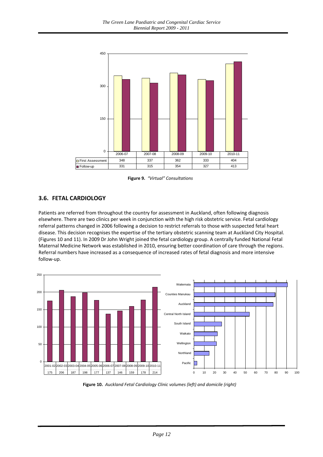

**Figure 9.** *"Virtual" Consultations*

#### <span id="page-11-0"></span>**3.6. FETAL CARDIOLOGY**

Patients are referred from throughout the country for assessment in Auckland, often following diagnosis elsewhere. There are two clinics per week in conjunction with the high risk obstetric service. Fetal cardiology referral patterns changed in 2006 following a decision to restrict referrals to those with suspected fetal heart disease. This decision recognises the expertise of the tertiary obstetric scanning team at Auckland City Hospital. (Figures 10 and 11). In 2009 Dr John Wright joined the fetal cardiology group. A centrally funded National Fetal Maternal Medicine Network was established in 2010, ensuring better coordination of care through the regions. Referral numbers have increased as a consequence of increased rates of fetal diagnosis and more intensive follow‐up.



**Figure 10.** *Auckland Fetal Cardiology Clinic volumes (left) and domicile (right)*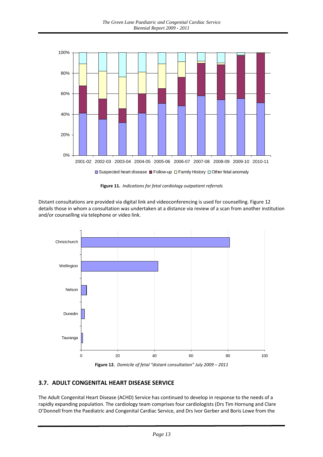

**Figure 11.** *Indications for fetal cardiology outpatient referrals*

Distant consultations are provided via digital link and videoconferencing is used for counselling. Figure 12 details those in whom a consultation was undertaken at a distance via review of a scan from another institution and/or counselling via telephone or video link.



**Figure 12.** *Domicile of fetal "distant consultation" July 2009 – 2011*

#### <span id="page-12-0"></span>**3.7. ADULT CONGENITAL HEART DISEASE SERVICE**

The Adult Congenital Heart Disease (ACHD) Service has continued to develop in response to the needs of a rapidly expanding population. The cardiology team comprises four cardiologists (Drs Tim Hornung and Clare O'Donnell from the Paediatric and Congenital Cardiac Service, and Drs Ivor Gerber and Boris Lowe from the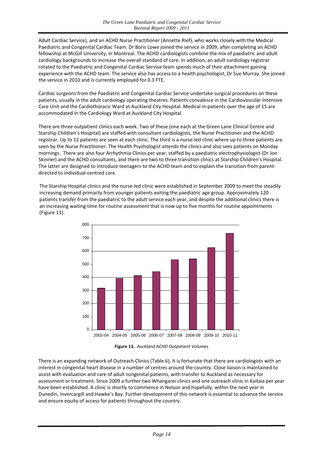Adult Cardiac Service), and an ACHD Nurse Practitioner (Annette Rief), who works closely with the Medical Paediatric and Congenital Cardiac Team. Dr Boris Lowe joined the service in 2009, after completing an ACHD fellowship at McGill University, in Montreal. The ACHD cardiologists combine the mix of paediatric and adult cardiology backgrounds to increase the overall standard of care. In addition, an adult cardiology registrar rotated to the Paediatric and Congenital Cardiac Service team spends much of their attachment gaining experience with the ACHD team. The service also has access to a health psychologist, Dr Sue Murray. She joined the service in 2010 and is currently employed for 0.3 FTE.

Cardiac surgeons from the Paediatric and Congenital Cardiac Service undertake surgical procedures on these patients, usually in the adult cardiology operating theatres. Patients convalesce in the Cardiovascular Intensive Care Unit and the Cardiothoracic Ward at Auckland City Hospital. Medical in‐patients over the age of 15 are accommodated in the Cardiology Ward at Auckland City Hospital.

There are three outpatient clinics each week. Two of these (one each at the Green Lane Clinical Centre and Starship Children's Hospital) are staffed with consultant cardiologists, the Nurse Practitioner and the ACHD registrar. Up to 12 patients are seen at each clinic. The third is a nurse-led clinic where up to three patients are seen by the Nurse Practitioner. The Health Psychologist attends the clinics and also sees patients on Monday mornings. There are also four Arrhythmia Clinics per year, staffed by a paediatric electrophysiologist (Dr Jon Skinner) and the ACHD consultants, and there are two to three transition clinics at Starship Children's Hospital. The latter are designed to introduce teenagers to the ACHD team and to explain the transition from parent‐ directed to individual‐centred care.

The Starship Hospital clinics and the nurse‐led clinic were established in September 2009 to meet the steadily increasing demand primarily from younger patients exiting the paediatric age group. Approximately 120 patients transfer from the paediatric to the adult service each year, and despite the additional clinics there is an increasing waiting time for routine assessment that is now up to five months for routine appointments (Figure 13).



**Figure 13.** *Auckland ACHD Outpatient Volumes*

There is an expanding network of Outreach Clinics (Table 6). It is fortunate that there are cardiologists with an interest in congenital heart disease in a number of centres around the country. Close liaison is maintained to assist with evaluation and care of adult congenital patients, with transfer to Auckland as necessary for assessment or treatment. Since 2009 a further two Whangarei clinics and one outreach clinic in Kaitaia per year have been established. A clinic is shortly to commence in Nelson and hopefully, within the next year in Dunedin, Invercargill and Hawke's Bay. Further development of this network is essential to advance the service and ensure equity of access for patients throughout the country.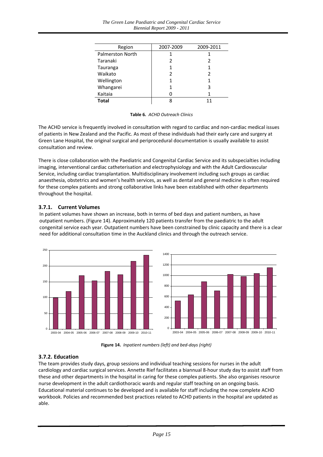| Region                  | 2007-2009 | 2009-2011 |
|-------------------------|-----------|-----------|
| <b>Palmerston North</b> |           |           |
| Taranaki                |           | 2         |
| Tauranga                |           |           |
| Waikato                 |           | 2         |
| Wellington              |           |           |
| Whangarei               |           | 3         |
| Kaitaia                 |           |           |
| Total                   |           |           |

#### **Table 6***. ACHD Outreach Clinics*

The ACHD service is frequently involved in consultation with regard to cardiac and non-cardiac medical issues of patients in New Zealand and the Pacific. As most of these individuals had their early care and surgery at Green Lane Hospital, the original surgical and periprocedural documentation is usually available to assist consultation and review.

There is close collaboration with the Paediatric and Congenital Cardiac Service and its subspecialties including imaging, interventional cardiac catheterisation and electrophysiology and with the Adult Cardiovascular Service, including cardiac transplantation. Multidisciplinary involvement including such groups as cardiac anaesthesia, obstetrics and women's health services, as well as dental and general medicine is often required for these complex patients and strong collaborative links have been established with other departments throughout the hospital.

#### **3.7.1. Current Volumes**

In patient volumes have shown an increase, both in terms of bed days and patient numbers, as have outpatient numbers. (Figure 14). Approximately 120 patients transfer from the paediatric to the adult congenital service each year. Outpatient numbers have been constrained by clinic capacity and there is a clear need for additional consultation time in the Auckland clinics and through the outreach service.





**Figure 14.** *Inpatient numbers (left) and bed‐days (right)*

#### **3.7.2. Education**

The team provides study days, group sessions and individual teaching sessions for nurses in the adult cardiology and cardiac surgical services. Annette Rief facilitates a biannual 8‐hour study day to assist staff from these and other departments in the hospital in caring for these complex patients. She also organises resource nurse development in the adult cardiothoracic wards and regular staff teaching on an ongoing basis. Educational material continues to be developed and is available for staff including the now complete ACHD workbook. Policies and recommended best practices related to ACHD patients in the hospital are updated as able.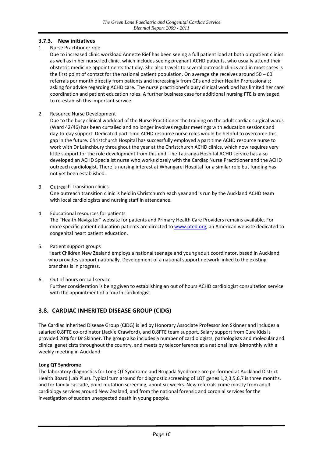#### **3.7.3. New initiatives**

#### 1. Nurse Practitioner role

Due to increased clinic workload Annette Rief has been seeing a full patient load at both outpatient clinics as well as in her nurse-led clinic, which includes seeing pregnant ACHD patients, who usually attend their obstetric medicine appointments that day. She also travels to several outreach clinics and in most cases is the first point of contact for the national patient population. On average she receives around  $50 - 60$ referrals per month directly from patients and increasingly from GPs and other Health Professionals; asking for advice regarding ACHD care. The nurse practitioner's busy clinical workload has limited her care coordination and patient education roles. A further business case for additional nursing FTE is envisaged to re‐establish this important service.

2. Resource Nurse Development

Due to the busy clinical workload of the Nurse Practitioner the training on the adult cardiac surgical wards (Ward 42/46) has been curtailed and no longer involves regular meetings with education sessions and day‐to‐day support. Dedicated part‐time ACHD resource nurse roles would be helpful to overcome this gap in the future. Christchurch Hospital has successfully employed a part time ACHD resource nurse to work with Dr Lainchbury throughout the year at the Christchurch ACHD clinics, which now requires very little support for the role development from this end. The Tauranga Hospital ACHD service has also developed an ACHD Specialist nurse who works closely with the Cardiac Nurse Practitioner and the ACHD outreach cardiologist. There is nursing interest at Whangarei Hospital for a similar role but funding has not yet been established.

3. Outreach Transition clinics

One outreach transition clinic is held in Christchurch each year and is run by the Auckland ACHD team with local cardiologists and nursing staff in attendance.

- 4. Educational resources for patients The "Health Navigator" website for patients and Primary Health Care Providers remains available. For more specific patient education patients are directed to [www.pted.org,](http://www.pted.org/) an American website dedicated to congenital heart patient education.
- 5. Patient support groups Heart Children New Zealand employs a national teenage and young adult coordinator, based in Auckland who provides support nationally. Development of a national support network linked to the existing branches is in progress.
- 6. Out of hours on‐call service Further consideration is being given to establishing an out of hours ACHD cardiologist consultation service with the appointment of a fourth cardiologist.

#### <span id="page-15-0"></span>**3.8. CARDIAC INHERITED DISEASE GROUP (CIDG)**

The Cardiac Inherited Disease Group (CIDG) is led by Honorary Associate Professor Jon Skinner and includes a salaried 0.8FTE co-ordinator (Jackie Crawford), and 0.8FTE team support. Salary support from Cure Kids is provided 20% for Dr Skinner. The group also includes a number of cardiologists, pathologists and molecular and clinical geneticists throughout the country, and meets by teleconference at a national level bimonthly with a weekly meeting in Auckland.

#### **Long QT Syndrome**

The laboratory diagnostics for Long QT Syndrome and Brugada Syndrome are performed at Auckland District Health Board (Lab Plus). Typical turn around for diagnostic screening of LQT genes 1,2,3,5,6,7 is three months, and for family cascade, point mutation screening, about six weeks. New referrals come mostly from adult cardiology services around New Zealand, and from the national forensic and coronial services for the investigation of sudden unexpected death in young people.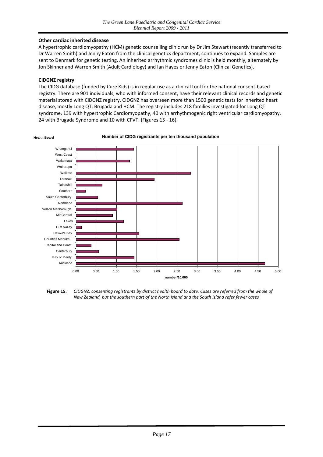#### **Other cardiac inherited disease**

A hypertrophic cardiomyopathy (HCM) genetic counselling clinic run by Dr Jim Stewart (recently transferred to Dr Warren Smith) and Jenny Eaton from the clinical genetics department, continues to expand. Samples are sent to Denmark for genetic testing. An inherited arrhythmic syndromes clinic is held monthly, alternately by Jon Skinner and Warren Smith (Adult Cardiology) and Ian Hayes or Jenny Eaton (Clinical Genetics).

#### **CIDGNZ registry**

The CIDG database (funded by Cure Kids) is in regular use as a clinical tool for the national consent‐based registry. There are 901 individuals, who with informed consent, have their relevant clinical records and genetic material stored with CIDGNZ registry. CIDGNZ has overseen more than 1500 genetic tests for inherited heart disease, mostly Long QT, Brugada and HCM. The registry includes 218 families investigated for Long QT syndrome, 139 with hypertrophic Cardiomyopathy, 40 with arrhythmogenic right ventricular cardiomyopathy, 24 with Brugada Syndrome and 10 with CPVT. (Figures 15 ‐ 16).



Figure 15. CIDGNZ, consenting registrants by district health board to date. Cases are referred from the whole of

*New Zealand, but the southern part of the North Island and the South Island refer fewer cases*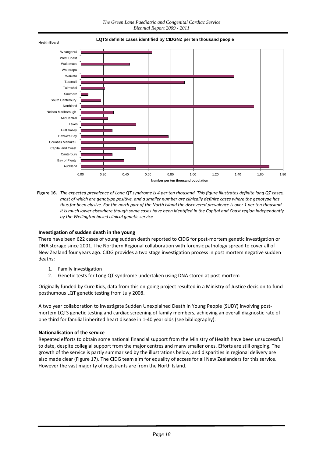



#### **Investigation of sudden death in the young**

There have been 622 cases of young sudden death reported to CIDG for post-mortem genetic investigation or DNA storage since 2001. The Northern Regional collaboration with forensic pathology spread to cover all of New Zealand four years ago. CIDG provides a two stage investigation process in post mortem negative sudden deaths:

- 1. Family investigation
- 2. Genetic tests for Long QT syndrome undertaken using DNA stored at post-mortem

Originally funded by Cure Kids, data from this on‐going project resulted in a Ministry of Justice decision to fund posthumous LQT genetic testing from July 2008.

A two year collaboration to investigate Sudden Unexplained Death in Young People (SUDY) involving post‐ mortem LQTS genetic testing and cardiac screening of family members, achieving an overall diagnostic rate of one third for familial inherited heart disease in 1‐40 year olds (see bibliography).

#### **Nationalisation of the service**

Repeated efforts to obtain some national financial support from the Ministry of Health have been unsuccessful to date, despite collegial support from the major centres and many smaller ones. Efforts are still ongoing. The growth of the service is partly summarised by the illustrations below, and disparities in regional delivery are also made clear (Figure 17). The CIDG team aim for equality of access for all New Zealanders for this service. However the vast majority of registrants are from the North Island.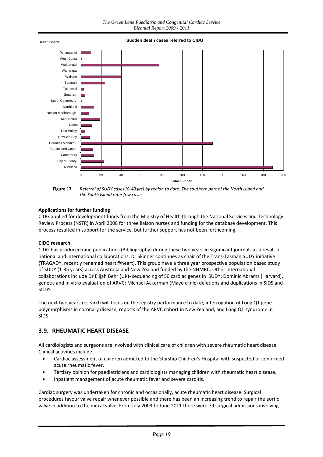

Figure 17. Referral of SUDY cases (0-40 vrs) by region to date. The southern part of the North Island and *the South Island refer few cases*

#### **Applications for further funding**

CIDG applied for development funds from the Ministry of Health through the National Services and Technology Review Process (NSTR) in April 2008 for three liaison nurses and funding for the database development. This process resulted in support for the service, but further support has not been forthcoming.

#### **CIDG research**

CIDG has produced nine publications (Bibliography) during these two years in significant journals as a result of national and international collaborations. Dr Skinner continues as chair of the Trans‐Tasman SUDY initiative (TRAGADY, recently renamed heart@heart). This group have a three year prospective population based study of SUDY (1‐35 years) across Australia and New Zealand funded by the NHMRC. Other international collaborations include Dr Elijah Behr (UK)‐ sequencing of 50 cardiac genes in SUDY; Dominic Abrams (Harvard), genetic and in vitro evaluation of ARVC; Michael Ackerman (Mayo clinic) deletions and duplications in SIDS and SUDY.

The next two years research will focus on the registry performance to date, interrogation of Long QT gene polymorphisms in coronary disease, reports of the ARVC cohort in New Zealand, and Long QT syndrome in SIDS.

#### <span id="page-18-0"></span>**3.9. RHEUMATIC HEART DISEASE**

All cardiologists and surgeons are involved with clinical care of children with severe rheumatic heart disease. Clinical activities include:

- Cardiac assessment of children admitted to the Starship Children's Hospital with suspected or confirmed acute rheumatic fever.
- Tertiary opinion for paediatricians and cardiologists managing children with rheumatic heart disease.
- Inpatient management of acute rheumatic fever and severe carditis.

Cardiac surgery was undertaken for chronic and occasionally, acute rheumatic heart disease. Surgical procedures favour valve repair whenever possible and there has been an increasing trend to repair the aortic valve in addition to the mitral valve. From July 2009 to June 2011 there were 79 surgical admissions involving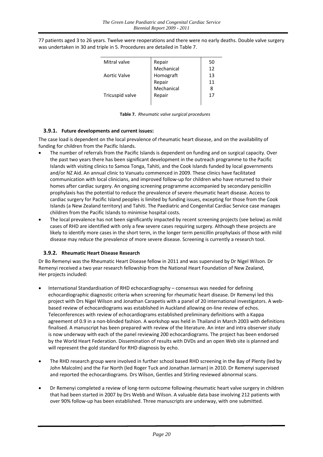77 patients aged 3 to 26 years. Twelve were reoperations and there were no early deaths. Double valve surgery was undertaken in 30 and triple in 5. Procedures are detailed in Table 7.

| Mitral valve    | Repair     | 50 |
|-----------------|------------|----|
|                 | Mechanical | 12 |
| Aortic Valve    | Homograft  | 13 |
|                 | Repair     | 11 |
|                 | Mechanical | 8  |
| Tricuspid valve | Repair     | 17 |
|                 |            |    |

**Table 7.** *Rheumatic valve surgical procedures*

#### **3.9.1. Future developments and current issues:**

The case load is dependent on the local prevalence of rheumatic heart disease, and on the availability of funding for children from the Pacific Islands.

- The number of referrals from the Pacific Islands is dependent on funding and on surgical capacity. Over the past two years there has been significant development in the outreach programme to the Pacific Islands with visiting clinics to Samoa Tonga, Tahiti, and the Cook Islands funded by local governments and/or NZ Aid. An annual clinic to Vanuatu commenced in 2009. These clinics have facilitated communication with local clinicians, and improved follow‐up for children who have returned to their homes after cardiac surgery. An ongoing screening programme accompanied by secondary penicillin prophylaxis has the potential to reduce the prevalence of severe rheumatic heart disease. Access to cardiac surgery for Pacific Island peoples is limited by funding issues, excepting for those from the Cook Islands (a New Zealand territory) and Tahiti. The Paediatric and Congenital Cardiac Service case manages children from the Pacific Islands to minimise hospital costs.
- The local prevalence has not been significantly impacted by recent screening projects (see below) as mild cases of RHD are identified with only a few severe cases requiring surgery. Although these projects are likely to identify more cases in the short term, in the longer term penicillin prophylaxis of those with mild disease may reduce the prevalence of more severe disease. Screening is currently a research tool.

#### **3.9.2. Rheumatic Heart Disease Research**

Dr Bo Remenyi was the Rheumatic Heart Disease fellow in 2011 and was supervised by Dr Nigel Wilson. Dr Remenyi received a two year research fellowship from the National Heart Foundation of New Zealand, Her projects included:

- International Standardisation of RHD echocardiography consensus was needed for defining echocardiographic diagnostic criteria when screening for rheumatic heart disease. Dr Remenyi led this project with Drs Nigel Wilson and Jonathan Carapetis with a panel of 20 international investigators. A webbased review of echocardiograms was established in Auckland allowing on‐line review of echos. Teleconferences with review of echocardiograms established preliminary definitions with a Kappa agreement of 0.9 in a non‐blinded fashion. A workshop was held in Thailand in March 2003 with definitions finalised. A manuscript has been prepared with review of the literature. An inter and intra observer study is now underway with each of the panel reviewing 200 echocardiograms. The project has been endorsed by the World Heart Federation. Dissemination of results with DVDs and an open Web site is planned and will represent the gold standard for RHD diagnosis by echo.
- The RHD research group were involved in further school based RHD screening in the Bay of Plenty (led by John Malcolm) and the Far North (led Roger Tuck and Jonathan Jarman) in 2010. Dr Remenyi supervised and reported the echocardiograms. Drs Wilson, Gentles and Stirling reviewed abnormal scans.
- Dr Remenyi completed a review of long‐term outcome following rheumatic heart valve surgery in children that had been started in 2007 by Drs Webb and Wilson. A valuable data base involving 212 patients with over 90% follow‐up has been established. Three manuscripts are underway, with one submitted.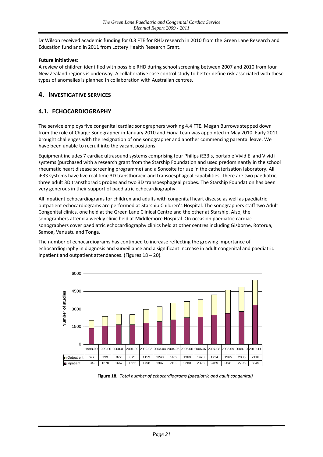Dr Wilson received academic funding for 0.3 FTE for RHD research in 2010 from the Green Lane Research and Education fund and in 2011 from Lottery Health Research Grant.

#### **Future initiatives:**

A review of children identified with possible RHD during school screening between 2007 and 2010 from four New Zealand regions is underway. A collaborative case control study to better define risk associated with these types of anomalies is planned in collaboration with Australian centres.

#### <span id="page-20-0"></span>**4. INVESTIGATIVE SERVICES**

#### <span id="page-20-1"></span>**4.1. ECHOCARDIOGRAPHY**

The service employs five congenital cardiac sonographers working 4.4 FTE. Megan Burrows stepped down from the role of Charge Sonographer in January 2010 and Fiona Lean was appointed in May 2010. Early 2011 brought challenges with the resignation of one sonographer and another commencing parental leave. We have been unable to recruit into the vacant positions.

Equipment includes 7 cardiac ultrasound systems comprising four Philips iE33's, portable Vivid E and Vivid i systems (purchased with a research grant from the Starship Foundation and used predominantly in the school rheumatic heart disease screening programme) and a Sonosite for use in the catheterisation laboratory. All iE33 systems have live real time 3D transthoracic and transoesphageal capabilities. There are two paediatric, three adult 3D transthoracic probes and two 3D transoesphageal probes. The Starship Foundation has been very generous in their support of paediatric echocardiography.

All inpatient echocardiograms for children and adults with congenital heart disease as well as paediatric outpatient echocardiograms are performed at Starship Children's Hospital. The sonographers staff two Adult Congenital clinics, one held at the Green Lane Clinical Centre and the other at Starship. Also, the sonographers attend a weekly clinic held at Middlemore Hospital. On occasion paediatric cardiac sonographers cover paediatric echocardiography clinics held at other centres including Gisborne, Rotorua, Samoa, Vanuatu and Tonga.

The number of echocardiograms has continued to increase reflecting the growing importance of echocardiography in diagnosis and surveillance and a significant increase in adult congenital and paediatric inpatient and outpatient attendances. (Figures 18 – 20).



**Figure 18.** *Total number of echocardiograms (paediatric and adult congenital)*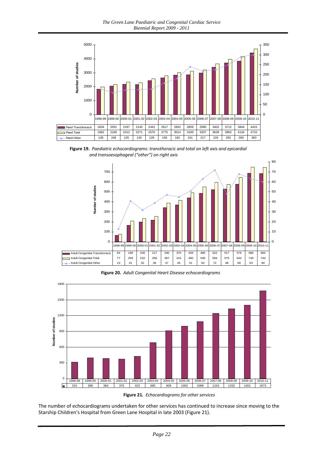*The Green Lane Paediatric and Congenital Cardiac Service Biennial Report 2009 - 2011*



**Figure 19.** *Paediatric echocardiograms: transthoracic and total on left axis and epicardial and transoesophageal ("other") on right axis*



. **Figure 20.** *Adult Congenital Heart Disease echocardiograms*



**Figure 21***. Echocardiograms for other services*

The number of echocardiograms undertaken for other services has continued to increase since moving to the Starship Children's Hospital from Green Lane Hospital in late 2003 (Figure 21).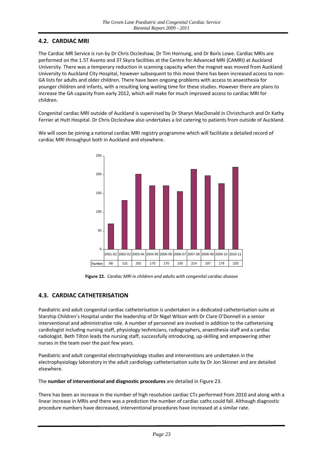#### <span id="page-22-0"></span>**4.2. CARDIAC MRI**

The Cardiac MR Service is run by Dr Chris Occleshaw, Dr Tim Hornung, and Dr Boris Lowe. Cardiac MRIs are performed on the 1.5T Avanto and 3T Skyra facilities at the Centre for Advanced MRI (CAMRI) at Auckland University. There was a temporary reduction in scanning capacity when the magnet was moved from Auckland University to Auckland City Hospital, however subsequent to this move there has been increased access to non‐ GA lists for adults and older children. There have been ongoing problems with access to anaesthesia for younger children and infants, with a resulting long waiting time for these studies. However there are plans to increase the GA capacity from early 2012, which will make for much improved access to cardiac MRI for children.

Congenital cardiac MRI outside of Auckland is supervised by Dr Sharyn MacDonald in Christchurch and Dr Kathy Ferrier at Hutt Hospital. Dr Chris Occleshaw also undertakes a list catering to patients from outside of Auckland.

> $\Omega$ 50 100 150 200 250 Number 68 131 201 170 170 155 214 197 176 220 2001-02 2002-03 2003-04 2004-05 2005-06 2006-07 2007-08 2008-09 2009-10 2010-11

We will soon be joining a national cardiac MRI registry programme which will facilitate a detailed record of cardiac MRI throughput both in Auckland and elsewhere.

**Figure 22***. Cardiac MRI in children and adults with congenital cardiac disease*

#### <span id="page-22-1"></span>**4.3. CARDIAC CATHETERISATION**

Paediatric and adult congenital cardiac catheterisation is undertaken in a dedicated catheterisation suite at Starship Children's Hospital under the leadership of Dr Nigel Wilson with Dr Clare O'Donnell in a senior interventional and administrative role. A number of personnel are involved in addition to the catheterising cardiologist including nursing staff, physiology technicians, radiographers, anaesthesia staff and a cardiac radiologist. Beth Tilton leads the nursing staff, successfully introducing, up‐skilling and empowering other nurses in the team over the past few years.

Paediatric and adult congenital electrophysiology studies and interventions are undertaken in the electrophysiology laboratory in the adult cardiology catheterisation suite by Dr Jon Skinner and are detailed elsewhere.

The **number of interventional and diagnostic procedures** are detailed in Figure 23.

There has been an increase in the number of high resolution cardiac CTs performed from 2010 and along with a linear increase in MRIs and there was a prediction the number of cardiac caths could fall. Although diagnostic procedure numbers have decreased, interventional procedures have increased at a similar rate.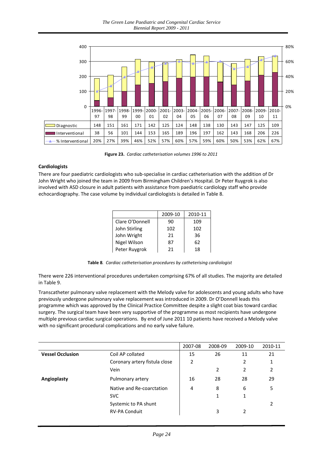*The Green Lane Paediatric and Congenital Cardiac Service Biennial Report 2009 - 2011*



**Figure 23.** *Cardiac catheterisation volumes 1996 to 2011*

#### **Cardiologists**

There are four paediatric cardiologists who sub‐specialise in cardiac catheterisation with the addition of Dr John Wright who joined the team in 2009 from Birmingham Children's Hospital. Dr Peter Ruygrok is also involved with ASD closure in adult patients with assistance from paediatric cardiology staff who provide echocardiography. The case volume by individual cardiologists is detailed in Table 8.

|                 | 2009-10 | 2010-11 |
|-----------------|---------|---------|
| Clare O'Donnell | 90      | 109     |
| John Stirling   | 102     | 102     |
| John Wright     | 21      | 36      |
| Nigel Wilson    | 87      | 62      |
| Peter Ruygrok   | 21      | 18      |

**Table 8***. Cardiac catheterisation procedures by catheterising cardiologist*

There were 226 interventional procedures undertaken comprising 67% of all studies. The majority are detailed in Table 9.

Transcatheter pulmonary valve replacement with the Melody valve for adolescents and young adults who have previously undergone pulmonary valve replacement was introduced in 2009. Dr O'Donnell leads this programme which was approved by the Clinical Practice Committee despite a slight coat bias toward cardiac surgery. The surgical team have been very supportive of the programme as most recipients have undergone multiple previous cardiac surgical operations. By end of June 2011 10 patients have received a Melody valve with no significant procedural complications and no early valve failure.

|                         |                               | 2007-08 | 2008-09 | 2009-10 | 2010-11 |
|-------------------------|-------------------------------|---------|---------|---------|---------|
| <b>Vessel Occlusion</b> | Coil AP collated              | 15      | 26      | 11      | 21      |
|                         | Coronary artery fistula close | 2       |         | 2       | 1       |
|                         | Vein                          |         | 2       | 2       | 2       |
| Angioplasty             | Pulmonary artery              | 16      | 28      | 28      | 29      |
|                         | Native and Re-coarctation     | 4       | 8       | 6       | 5       |
|                         | <b>SVC</b>                    |         | 1       | 1       |         |
|                         | Systemic to PA shunt          |         |         |         | 2       |
|                         | <b>RV-PA Conduit</b>          |         | 3       | 2       |         |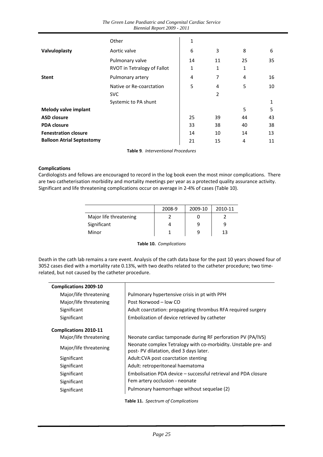|                                  | Other                       | 1            |    |    |              |
|----------------------------------|-----------------------------|--------------|----|----|--------------|
| Valvuloplasty                    | Aortic valve                | 6            | 3  | 8  | 6            |
|                                  | Pulmonary valve             | 14           | 11 | 25 | 35           |
|                                  | RVOT in Tetralogy of Fallot | $\mathbf{1}$ | 1  | 1  |              |
| <b>Stent</b>                     | Pulmonary artery            | 4            | 7  | 4  | 16           |
|                                  | Native or Re-coarctation    | 5            | 4  | 5  | 10           |
|                                  | <b>SVC</b>                  |              | 2  |    |              |
|                                  | Systemic to PA shunt        |              |    |    | $\mathbf{1}$ |
| Melody valve implant             |                             |              |    | 5  | 5            |
| <b>ASD closure</b>               |                             | 25           | 39 | 44 | 43           |
| <b>PDA closure</b>               |                             | 33           | 38 | 40 | 38           |
| <b>Fenestration closure</b>      |                             | 14           | 10 | 14 | 13           |
| <b>Balloon Atrial Septostomy</b> |                             | 21           | 15 | 4  | 11           |

**Table 9***. Interventional Procedures*

#### **Complications**

Cardiologists and fellows are encouraged to record in the log book even the most minor complications. There are two catheterisation morbidity and mortality meetings per year as a protected quality assurance activity. Significant and life threatening complications occur on average in 2‐4% of cases (Table 10).

|                        | 2008-9 | 2009-10 | 2010-11 |
|------------------------|--------|---------|---------|
| Major life threatening |        |         |         |
| Significant            |        | 9       |         |
| Minor                  |        |         | 13      |

**Table 10.** *Complications*

Death in the cath lab remains a rare event. Analysis of the cath data base for the past 10 years showed four of 3052 cases died with a mortality rate 0.13%, with two deaths related to the catheter procedure; two time‐ related, but not caused by the catheter procedure.

| <b>Complications 2009-10</b> |                                                                                                          |
|------------------------------|----------------------------------------------------------------------------------------------------------|
| Major/life threatening       | Pulmonary hypertensive crisis in pt with PPH                                                             |
| Major/life threatening       | Post Norwood - low CO                                                                                    |
| Significant                  | Adult coarctation: propagating thrombus RFA required surgery                                             |
| Significant                  | Embolization of device retrieved by catheter                                                             |
| <b>Complications 2010-11</b> |                                                                                                          |
| Major/life threatening       | Neonate cardiac tamponade during RF perforation PV (PA/IVS)                                              |
| Major/life threatening       | Neonate complex Tetralogy with co-morbidity. Unstable pre- and<br>post-PV dilatation, died 3 days later. |
| Significant                  | Adult: CVA post coarctation stenting                                                                     |
| Significant                  | Adult: retroperitoneal haematoma                                                                         |
| Significant                  | Embolisation PDA device – successful retrieval and PDA closure                                           |
| Significant                  | Fem artery occlusion - neonate                                                                           |
| Significant                  | Pulmonary haemorrhage without sequelae (2)                                                               |

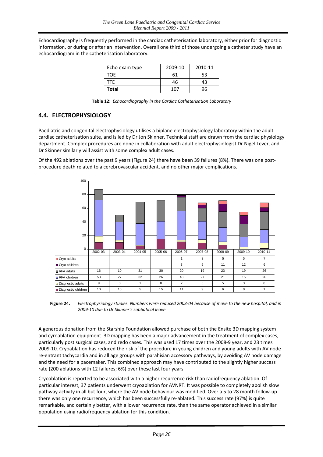Echocardiography is frequently performed in the cardiac catheterisation laboratory, either prior for diagnostic information, or during or after an intervention. Overall one third of those undergoing a catheter study have an echocardiogram in the catheterisation laboratory.

| Echo exam type | 2009-10 | 2010-11 |
|----------------|---------|---------|
| TOF            | 61      | 53      |
| TTF.           | 46      | 43      |
| <b>Total</b>   | 107     |         |

| Table 12: Echocardiography in the Cardiac Catheterisation Laboratory |
|----------------------------------------------------------------------|
|----------------------------------------------------------------------|

#### <span id="page-25-0"></span>**4.4. ELECTROPHYSIOLOGY**

Paediatric and congenital electrophysiology utilises a biplane electrophysiology laboratory within the adult cardiac catheterisation suite, and is led by Dr Jon Skinner. Technical staff are drawn from the cardiac physiology department. Complex procedures are done in collaboration with adult electrophysiologist Dr Nigel Lever, and Dr Skinner similarly will assist with some complex adult cases.

Of the 492 ablations over the past 9 years (Figure 24) there have been 39 failures (8%). There was one postprocedure death related to a cerebrovascular accident, and no other major complications.



Figure 24. Electrophysiology studies. Numbers were reduced 2003-04 because of move to the new hospital, and in *2009‐10 due to Dr Skinner's sabbatical leave*

A generous donation from the Starship Foundation allowed purchase of both the Ensite 3D mapping system and cyroablation equipment. 3D mapping has been a major advancement in the treatment of complex cases, particularly post surgical cases, and redo cases. This was used 17 times over the 2008‐9 year, and 23 times 2009‐10. Cryoablation has reduced the risk of the procedure in young children and young adults with AV node re-entrant tachycardia and in all age groups with parahisian accessory pathways, by avoiding AV node damage and the need for a pacemaker. This combined approach may have contributed to the slightly higher success rate (200 ablations with 12 failures; 6%) over these last four years.

Cryoablation is reported to be associated with a higher recurrence risk than radiofrequency ablation. Of particular interest, 37 patients underwent cryoablation for AVNRT. It was possible to completely abolish slow pathway activity in all but four, where the AV node behaviour was modified. Over a 5 to 28 month follow‐up there was only one recurrence, which has been successfully re‐ablated. This success rate (97%) is quite remarkable, and certainly better, with a lower recurrence rate, than the same operator achieved in a similar population using radiofrequency ablation for this condition.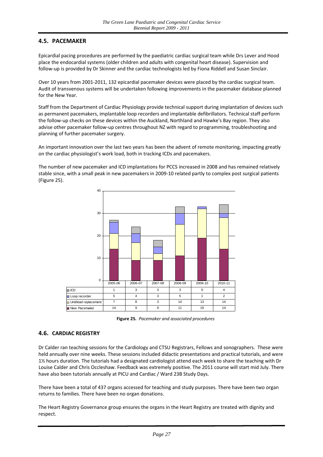#### <span id="page-26-0"></span>**4.5. PACEMAKER**

Epicardial pacing procedures are performed by the paediatric cardiac surgical team while Drs Lever and Hood place the endocardial systems (older children and adults with congenital heart disease). Supervision and follow‐up is provided by Dr Skinner and the cardiac technologists led by Fiona Riddell and Susan Sinclair.

Over 10 years from 2001‐2011, 132 epicardial pacemaker devices were placed by the cardiac surgical team. Audit of transvenous systems will be undertaken following improvements in the pacemaker database planned for the New Year.

Staff from the Department of Cardiac Physiology provide technical support during implantation of devices such as permanent pacemakers, implantable loop recorders and implantable defibrillators. Technical staff perform the follow‐up checks on these devices within the Auckland, Northland and Hawke's Bay region. They also advise other pacemaker follow-up centres throughout NZ with regard to programming, troubleshooting and planning of further pacemaker surgery.

An important innovation over the last two years has been the advent of remote monitoring, impacting greatly on the cardiac physiologist's work load, both in tracking ICDs and pacemakers.

The number of new pacemaker and ICD implantations for PCCS increased in 2008 and has remained relatively stable since, with a small peak in new pacemakers in 2009‐10 related partly to complex post surgical patients (Figure 25).



**Figure 25***. Pacemaker and associated procedures* 

#### <span id="page-26-1"></span>**4.6. CARDIAC REGISTRY**

Dr Calder ran teaching sessions for the Cardiology and CTSU Registrars, Fellows and sonographers. These were held annually over nine weeks. These sessions included didactic presentations and practical tutorials, and were 1½ hours duration. The tutorials had a designated cardiologist attend each week to share the teaching with Dr Louise Calder and Chris Occleshaw. Feedback was extremely positive. The 2011 course will start mid July. There have also been tutorials annually at PICU and Cardiac / Ward 23B Study Days.

There have been a total of 437 organs accessed for teaching and study purposes. There have been two organ returns to families. There have been no organ donations.

The Heart Registry Governance group ensures the organs in the Heart Registry are treated with dignity and respect.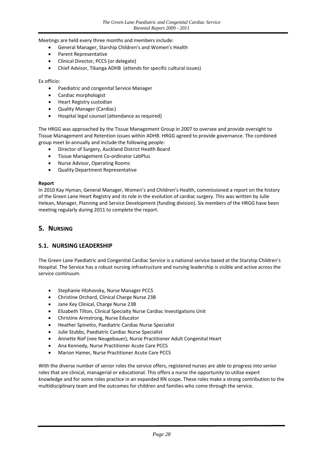Meetings are held every three months and members include:

- General Manager, Starship Children's and Women's Health
- Parent Representative
- Clinical Director, PCCS (or delegate)
- Chief Advisor, Tikanga ADHB (attends for specific cultural issues)

Ex officio:

- Paediatric and congenital Service Manager
- Cardiac morphologist
- Heart Registry custodian
- Quality Manager (Cardiac)
- Hospital legal counsel (attendance as required)

The HRGG was approached by the Tissue Management Group in 2007 to oversee and provide oversight to Tissue Management and Retention issues within ADHB. HRGG agreed to provide governance. The combined group meet bi-annually and include the following people:

- Director of Surgery, Auckland District Health Board
- Tissue Management Co-ordinator LabPlus
- Nurse Advisor, Operating Rooms
- Quality Department Representative

#### **Report**

In 2010 Kay Hyman, General Manager, Women's and Children's Health, commissioned a report on the history of the Green Lane Heart Registry and its role in the evolution of cardiac surgery. This was written by Julie Helean, Manager, Planning and Service Development (funding division). Six members of the HRGG have been meeting regularly during 2011 to complete the report.

#### <span id="page-27-0"></span>**5. NURSING**

#### <span id="page-27-1"></span>**5.1. NURSING LEADERSHIP**

The Green Lane Paediatric and Congenital Cardiac Service is a national service based at the Starship Children's Hospital. The Service has a robust nursing infrastructure and nursing leadership is visible and active across the service continuum.

- **•** Stephanie Hlohovsky, Nurse Manager PCCS
- Christine Orchard, Clinical Charge Nurse 23B
- Jane Key Clinical, Charge Nurse 23B
- Elizabeth Tilton, Clinical Specialty Nurse Cardiac Investigations Unit
- Christine Armstrong, Nurse Educator
- Heather Spinetto, Paediatric Cardiac Nurse Specialist
- Julie Stubbs, Paediatric Cardiac Nurse Specialist
- Annette Rief (nee Neugebauer), Nurse Practitioner Adult Congenital Heart
- Ana Kennedy, Nurse Practitioner Acute Care PCCS
- Marion Hamer, Nurse Practitioner Acute Care PCCS

With the diverse number of senior roles the service offers, registered nurses are able to progress into senior roles that are clinical, managerial or educational. This offers a nurse the opportunity to utilise expert knowledge and for some roles practice in an expanded RN scope. These roles make a strong contribution to the multidisciplinary team and the outcomes for children and families who come through the service.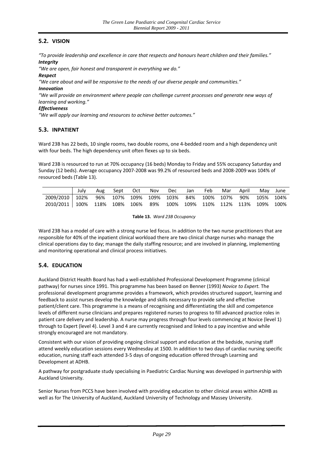#### <span id="page-28-0"></span>**5.2. VISION**

*"To provide leadership and excellence in care that respects and honours heart children and their families." Integrity* 

*"We are open, fair honest and transparent in everything we do."*

#### *Respect*

*"We care about and will be responsive to the needs of our diverse people and communities."*

#### *Innovation*

*"We will provide an environment where people can challenge current processes and generate new ways of learning and working."*

#### *Effectiveness*

*"We will apply our learning and resources to achieve better outcomes."*

#### <span id="page-28-1"></span>**5.3. INPATIENT**

Ward 23B has 22 beds, 10 single rooms, two double rooms, one 4‐bedded room and a high dependency unit with four beds. The high dependency unit often flexes up to six beds.

Ward 23B is resourced to run at 70% occupancy (16 beds) Monday to Friday and 55% occupancy Saturday and Sunday (12 beds). Average occupancy 2007‐2008 was 99.2% of resourced beds and 2008‐2009 was 104% of resourced beds (Table 13).

|                                                                        | July | Aug | Sept                                  | Oct " | Nov | Dec | Jan | Feb | Mar | April | May       | June |
|------------------------------------------------------------------------|------|-----|---------------------------------------|-------|-----|-----|-----|-----|-----|-------|-----------|------|
| 2009/2010   102%                                                       |      |     | 96% 107% 109% 109% 103% 84% 100% 107% |       |     |     |     |     |     | 90%   | 105% 104% |      |
| 2010/2011   100% 118% 108% 106% 89% 100% 109% 110% 112% 113% 109% 100% |      |     |                                       |       |     |     |     |     |     |       |           |      |

**Table 13.** *Ward 23B Occupancy*

Ward 23B has a model of care with a strong nurse led focus. In addition to the two nurse practitioners that are responsible for 40% of the inpatient clinical workload there are two clinical charge nurses who manage the clinical operations day to day; manage the daily staffing resource; and are involved in planning, implementing and monitoring operational and clinical process initiatives.

#### <span id="page-28-2"></span>**5.4. EDUCATION**

Auckland District Health Board has had a well‐established Professional Development Programme (clinical pathway) for nurses since 1991. This programme has been based on Benner (1993) *Novice to Expert.* The professional development programme provides a framework, which provides structured support, learning and feedback to assist nurses develop the knowledge and skills necessary to provide safe and effective patient/client care. This programme is a means of recognising and differentiating the skill and competence levels of different nurse clinicians and prepares registered nurses to progress to fill advanced practice roles in patient care delivery and leadership. A nurse may progress through four levels commencing at Novice (level 1) through to Expert (level 4). Level 3 and 4 are currently recognised and linked to a pay incentive and while strongly encouraged are not mandatory.

Consistent with our vision of providing ongoing clinical support and education at the bedside, nursing staff attend weekly education sessions every Wednesday at 1500. In addition to two days of cardiac nursing specific education, nursing staff each attended 3‐5 days of ongoing education offered through Learning and Development at ADHB.

A pathway for postgraduate study specialising in Paediatric Cardiac Nursing was developed in partnership with Auckland University.

Senior Nurses from PCCS have been involved with providing education to other clinical areas within ADHB as well as for The University of Auckland, Auckland University of Technology and Massey University.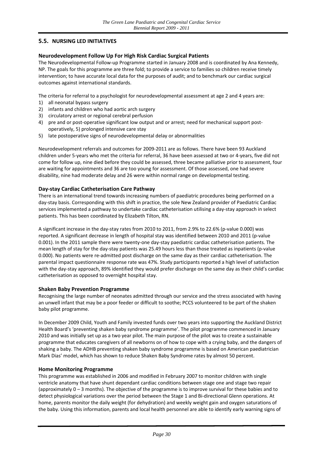#### <span id="page-29-0"></span>**5.5. NURSING LED INITIATIVES**

#### **Neurodevelopment Follow Up For High Risk Cardiac Surgical Patients**

The Neurodevelopmental Follow-up Programme started in January 2008 and is coordinated by Ana Kennedy, NP. The goals for this programme are three fold; to provide a service to families so children receive timely intervention; to have accurate local data for the purposes of audit; and to benchmark our cardiac surgical outcomes against international standards.

The criteria for referral to a psychologist for neurodevelopmental assessment at age 2 and 4 years are:

- 1) all neonatal bypass surgery
- 2) infants and children who had aortic arch surgery
- 3) circulatory arrest or regional cerebral perfusion
- 4) pre and or post-operative significant low output and or arrest; need for mechanical support postoperatively, 5) prolonged intensive care stay
- 5) late postoperative signs of neurodevelopmental delay or abnormalities

Neurodevelopment referrals and outcomes for 2009‐2011 are as follows. There have been 93 Auckland children under 5‐years who met the criteria for referral, 36 have been assessed at two or 4‐years, five did not come for follow up, nine died before they could be assessed, three became palliative prior to assessment, four are waiting for appointments and 36 are too young for assessment. Of those assessed, one had severe disability, nine had moderate delay and 26 were within normal range on developmental testing.

#### **Day‐stay Cardiac Catheterisation Care Pathway**

There is an international trend towards increasing numbers of paediatric procedures being performed on a day‐stay basis. Corresponding with this shift in practice, the sole New Zealand provider of Paediatric Cardiac services implemented a pathway to undertake cardiac catheterisation utilising a day‐stay approach in select patients. This has been coordinated by Elizabeth Tilton, RN.

A significant increase in the day-stay rates from 2010 to 2011, from 2.9% to 22.6% (p-value 0.000) was reported. A significant decrease in length of hospital stay was identified between 2010 and 2011 (p‐value 0.001). In the 2011 sample there were twenty-one day-stay paediatric cardiac catheterisation patients. The mean length of stay for the day‐stay patients was 25.49 hours less than those treated as inpatients (p‐value 0.000). No patients were re-admitted post discharge on the same day as their cardiac catheterisation. The parental impact questionnaire response rate was 47%. Study participants reported a high level of satisfaction with the day‐stay approach, 89% identified they would prefer discharge on the same day as their child's cardiac catheterisation as opposed to overnight hospital stay.

#### **Shaken Baby Prevention Programme**

Recognising the large number of neonates admitted through our service and the stress associated with having an unwell infant that may be a poor feeder or difficult to soothe; PCCS volunteered to be part of the shaken baby pilot programme.

In December 2009 Child, Youth and Family invested funds over two years into supporting the Auckland District Health Board's 'preventing shaken baby syndrome programme'. The pilot programme commenced in January 2010 and was initially set up as a two year pilot. The main purpose of the pilot was to create a sustainable programme that educates caregivers of all newborns on of how to cope with a crying baby, and the dangers of shaking a baby. The ADHB preventing shaken baby syndrome programme is based on American paediatrician Mark Dias' model, which has shown to reduce Shaken Baby Syndrome rates by almost 50 percent.

#### **Home Monitoring Programme**

This programme was established in 2006 and modified in February 2007 to monitor children with single ventricle anatomy that have shunt dependant cardiac conditions between stage one and stage two repair (approximately 0 – 3 months). The objective of the programme is to improve survival for these babies and to detect physiological variations over the period between the Stage 1 and Bi-directional Glenn operations. At home, parents monitor the daily weight (for dehydration) and weekly weight gain and oxygen saturations of the baby. Using this information, parents and local health personnel are able to identify early warning signs of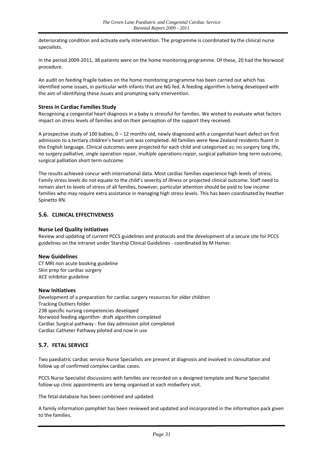deteriorating condition and activate early intervention. The programme is coordinated by the clinical nurse specialists.

In the period 2009‐2011, 38 patients were on the home monitoring programme. Of these, 20 had the Norwood procedure.

An audit on feeding fragile babies on the home monitoring programme has been carried out which has identified some issues, in particular with infants that are NG fed. A feeding algorithm is being developed with the aim of identifying these issues and prompting early intervention.

#### **Stress in Cardiac Families Study**

Recognising a congenital heart diagnosis in a baby is stressful for families. We wished to evaluate what factors impact on stress levels of families and on their perception of the support they received.

A prospective study of 100 babies, 0 – 12 months old, newly diagnosed with a congenital heart defect on first admission to a tertiary children's heart unit was completed. All families were New Zealand residents fluent in the English language. Clinical outcomes were projected for each child and categorised as; no surgery long life, no surgery palliative, single operation repair, multiple operations repair, surgical palliation long term outcome, surgical palliation short term outcome.

The results achieved concur with international data. Most cardiac families experience high levels of stress. Family stress levels do not equate to the child's severity of illness or projected clinical outcome. Staff need to remain alert to levels of stress of all families, however, particular attention should be paid to low income families who may require extra assistance in managing high stress levels. This has been coordinated by Heather Spinetto RN.

#### <span id="page-30-0"></span>**5.6. CLINICAL EFFECTIVENESS**

#### **Nurse Led Quality Initiatives**

Review and updating of current PCCS guidelines and protocols and the development of a secure site for PCCS guidelines on the intranet under Starship Clinical Guidelines ‐ coordinated by M Hamer.

#### **New Guidelines**

CT MRI non acute booking guideline Skin prep for cardiac surgery ACE inhibitor guideline

#### **New Initiatives**

Development of a preparation for cardiac surgery resources for older children Tracking Outliers folder 23B specific nursing competencies developed Norwood feeding algorithm‐ draft algorithm completed Cardiac Surgical pathway ‐ five day admission pilot completed Cardiac Catheter Pathway piloted and now in use

#### <span id="page-30-1"></span>**5.7. FETAL SERVICE**

Two paediatric cardiac service Nurse Specialists are present at diagnosis and involved in consultation and follow up of confirmed complex cardiac cases.

PCCS Nurse Specialist discussions with families are recorded on a designed template and Nurse Specialist follow‐up clinic appointments are being organised at each midwifery visit.

The fetal database has been combined and updated.

A family information pamphlet has been reviewed and updated and incorporated in the information pack given to the families.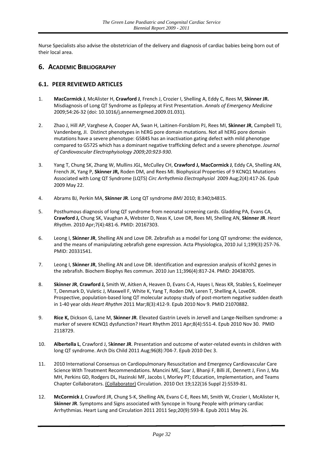Nurse Specialists also advise the obstetrician of the delivery and diagnosis of cardiac babies being born out of their local area.

#### <span id="page-31-0"></span>**6. ACADEMIC BIBLIOGRAPHY**

#### <span id="page-31-1"></span>**6.1. PEER REVIEWED ARTICLES**

- 1. **MacCormick J**, McAlister H, **Crawford J**, French J, Crozier I, Shelling A, Eddy C, Rees M, **Skinner JR.** Misdiagnosis of Long QT Syndrome as Epilepsy at First Presentation. *Annals of Emergency Medicine* 2009;54:26‐32 (doi: 10.1016/j.annemergmed.2009.01.031).
- 2. Zhao J, Hill AP, Varghese A, Cooper AA, Swan H, Laitinen‐Forsblom PJ, Rees MI, **Skinner JR**, Campbell TJ, Vandenberg, JI. Distinct phenotypes in hERG pore domain mutations. Not all hERG pore domain mutations have a severe phenotype: G584S has an inactivation gating defect with mild phenotype compared to G572S which has a dominant negative trafficking defect and a severe phenotype. *Journal of Cardiovascular Electrophyisology 2009;20:923‐930.*
- 3. Yang T, Chung SK, Zhang W, Mullins JGL, McCulley CH, **Crawford J, MacCormick J**, Eddy CA, Shelling AN, French JK, Yang P, **Skinner JR,** Roden DM, and Rees MI. Biophysical Properties of 9 KCNQ1 Mutations Associated with Long QT Syndrome (LQTS) *Circ Arrhythmia Electrophysiol* 2009 Aug;2(4):417‐26. Epub 2009 May 22.
- 4. Abrams BJ, Perkin MA, **Skinner JR**. Long QT syndrome *BMJ* 2010; 8:340;b4815.
- 5. Posthumous diagnosis of long QT syndrome from neonatal screening cards. Gladding PA, Evans CA, **Crawford J,** Chung SK, Vaughan A, Webster D, Neas K, Love DR, Rees MI, Shelling AN, **Skinner JR**. *Heart Rhythm*. 2010 Apr;7(4):481‐6. PMID: 20167303.
- 6. Leong I, **Skinner JR**, Shelling AN and Love DR. Zebrafish as a model for Long QT syndrome: the evidence, and the means of manipulating zebrafish gene expression. Acta Physiologica, 2010 Jul 1;199(3):257-76. PMID: 20331541.
- 7. Leong I, **Skinner JR**, Shelling AN and Love DR. Identification and expression analysis of kcnh2 genes in the zebrafish. Biochem Biophys Res commun. 2010 Jun 11;396(4):817‐24. PMID: 20438705.
- 8. **Skinner JR**, **Crawford J,** Smith W, Aitken A, Heaven D, Evans C‐A, Hayes I, Neas KR, Stables S, Koelmeyer T, Denmark D, Vuletic J, Maxwell F, White K, Yang T, Roden DM, Leren T, Shelling A, LoveDR. Prospective, population-based long QT molecular autopsy study of post-mortem negative sudden death in 1‐40 year olds *Heart Rhythm* 2011 Mar;8(3):412‐9. Epub 2010 Nov 9. PMID 21070882.
- 9. **Rice K,** Dickson G, Lane M, **Skinner JR**. Elevated Gastrin Levels in Jervell and Lange‐Neillsen syndrome: a marker of severe KCNQ1 dysfunction? Heart Rhythm 2011 Apr;8(4):551‐4. Epub 2010 Nov 30. PMID 2118729.
- 10. **Albertella L**, Crawford J, S**kinner JR**. Presentation and outcome of water‐related events in children with long QT syndrome. Arch Dis Child 2011 Aug;96(8):704‐7. Epub 2010 Dec 3.
- 11. 2010 International Consensus on Cardiopulmonary Resuscitation and Emergency Cardiovascular Care Science With Treatment Recommendations. Mancini ME, Soar J, Bhanji F, Billi JE, Dennett J, Finn J, Ma MH, Perkins GD, Rodgers DL, Hazinski MF, Jacobs I, Morley PT; Education, Implementation, and Teams Chapter Collaborators. (Collaborator) Circulation. 2010 Oct 19;122(16 Suppl 2):S539‐81.
- 12. **McCormick J**, Crawford JR, Chung S‐K, Shelling AN, Evans C‐E, Rees MI, Smith W, Crozier I, McAlister H, **Skinner JR**. Symptoms and Signs associated with Syncope in Young People with primary cardiac Arrhythmias. Heart Lung and Circulation 2011 2011 Sep;20(9):593‐8. Epub 2011 May 26.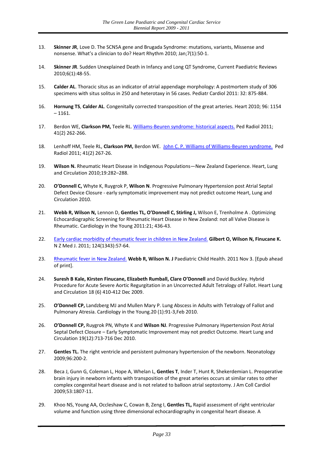- 13. **Skinner JR**, Love D. The SCN5A gene and Brugada Syndrome: mutations, variants, Missense and nonsense. What's a clinician to do? Heart Rhythm 2010; Jan;7(1):50‐1.
- 14. **Skinner JR**. Sudden Unexplained Death in Infancy and Long QT Syndrome, Current Paediatric Reviews 2010;6(1):48‐55.
- 15. **Calder AL**. Thoracic situs as an indicator of atrial appendage morphology: A postmortem study of 306 specimens with situs solitus in 250 and heterotaxy in 56 cases. Pediatr Cardiol 2011: 32: 875‐884.
- 16. **Hornung TS**, **Calder AL**. Congenitally corrected transposition of the great arteries. Heart 2010; 96: 1154  $-1161.$
- 17. Berdon WE, **Clarkson PM,** Teele RL. Williams‐Beuren [syndrome:](http://www.ncbi.nlm.nih.gov/pubmed/21120465) historical aspects. Ped Radiol 2011; 41(2) 262‐266.
- 18. Lenhoff HM, Teele RL, **Clarkson PM,** Berdon WE. John C. P. Williams of Williams‐Beuren [syndrome.](http://www.ncbi.nlm.nih.gov/pubmed/21107555) Ped Radiol 2011; 41(2) 267‐26.
- 19. **Wilson N.** Rheumatic Heart Disease in Indigenous Populations—New Zealand Experience. Heart, Lung and Circulation 2010;19:282–288.
- 20. **O'Donnell C,** Whyte K, Ruygrok P, **Wilson N**. Progressive Pulmonary Hypertension post Atrial Septal Defect Device Closure ‐ early symptomatic improvement may not predict outcome Heart, Lung and Circulation 2010.
- 21. **Webb R, Wilson N,** Lennon D, **Gentles TL, O'Donnell C, Stirling J,** Wilson E, Trenholme A . Optimizing Echocardiographic Screening for Rheumatic Heart Disease in New Zealand: not all Valve Disease is Rheumatic. Cardiology in the Young 2011:21; 436‐43.
- 22. Early cardiac morbidity of [rheumatic](http://www.ncbi.nlm.nih.gov/pubmed/21964014) fever in children in New Zealand. **Gilbert O, Wilson N, Finucane K.** N Z Med J. 2011; 124(1343):57‐64.
- 23. [Rheumatic](http://www.ncbi.nlm.nih.gov/pubmed/22050578) fever in New Zealand. **Webb R, Wilson N. J** Paediatric Child Health. 2011 Nov 3. [Epub ahead of print].
- 24. **Suresh B Kale, Kirsten Finucane, Elizabeth Rumball, Clare O'Donnell** and David Buckley. Hybrid Procedure for Acute Severe Aortic Regurgitation in an Uncorrected Adult Tetralogy of Fallot. Heart Lung and Circulation 18 (6) 410‐412 Dec 2009.
- 25. **O'Donnell CP,** Landzberg MJ and Mullen Mary P. Lung Abscess in Adults with Tetralogy of Fallot and Pulmonary Atresia. Cardiology in the Young.20 (1):91‐3,Feb 2010.
- 26. **O'Donnell CP,** Ruygrok PN, Whyte K and **Wilson NJ**. Progressive Pulmonary Hypertension Post Atrial Septal Defect Closure – Early Symptomatic Improvement may not predict Outcome. Heart Lung and Circulation 19(12):713‐716 Dec 2010.
- 27. **Gentles TL.** The right ventricle and persistent pulmonary hypertension of the newborn. Neonatology 2009;96:200‐2.
- 28. Beca J, Gunn G, Coleman L, Hope A, Whelan L, **Gentles T**, Inder T, Hunt R, Shekerdemian L. Preoperative brain injury in newborn infants with transposition of the great arteries occurs at similar rates to other complex congenital heart disease and is not related to balloon atrial septostomy. J Am Coll Cardiol 2009;53:1807‐11.
- 29. Khoo NS, Young AA, Occleshaw C, Cowan B, Zeng I, **Gentles TL,** Rapid assessment of right ventricular volume and function using three dimensional echocardiography in congenital heart disease. A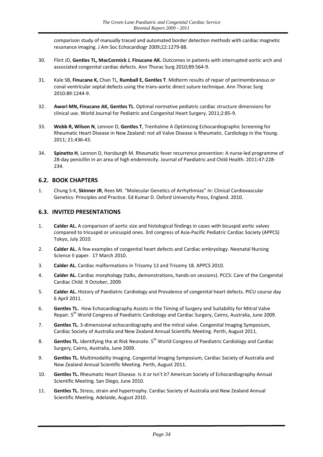comparison study of manually traced and automated border detection methods with cardiac magnetic resonance imaging. J Am Soc Echocardiogr 2009;22:1279‐88*.*

- 30. Flint JD, **Gentles TL, MacCormick J**, **Finucane AK.** Outcomes in patients with interrupted aortic arch and associated congenital cardiac defects. Ann Thorac Surg 2010;89:564‐9.
- 31. Kale SB, **Finucane K,** Chan TL, **Rumball E, Gentles T**. Midterm results of repair of perimembranous or conal ventricular septal defects using the trans‐aortic direct suture technique. Ann Thorac Surg 2010:89:1244‐9.
- 32. **Awori MN, Finucane AK, Gentles TL**. Optimal normative pediatric cardiac structure dimensions for clinical use. World Journal for Pediatric and Congenital Heart Surgery. 2011;2:85‐9.
- 33. **Webb R, Wilson N**, Lennon D, **Gentles T**, Trenholme A Optimizing Echocardiographic Screening for Rheumatic Heart Disease in New Zealand: not all Valve Disease is Rheumatic. Cardiology in the Young. 2011; 21:436‐43.
- 34. **Spinetto H**, Lennon D, Horsburgh M. Rheumatic fever recurrence prevention: A nurse-led programme of 28‐day penicillin in an area of high endemnicity. Journal of Paediatric and Child Health. 2011:47:228‐ 234.

#### <span id="page-33-0"></span>**6.2. BOOK CHAPTERS**

1. Chung S‐K, **Skinner JR**, Rees MI. "Molecular Genetics of Arrhythmias" *In:* Clinical Cardiovascular Genetics: Principles and Practice. Ed Kumar D. Oxford University Press, England. 2010.

#### <span id="page-33-1"></span>**6.3. INVITED PRESENTATIONS**

- 1. **Calder AL.** A comparison of aortic size and histological findings in cases with bicuspid aortic valves compared to tricuspid or unicuspid ones. 3rd congress of Asia‐Pacific Pediatric Cardiac Society (APPCS) Tokyo, July 2010.
- 2. **Calder AL.** A few examples of congenital heart defects and Cardiac embryology. Neonatal Nursing Science II paper. 17 March 2010.
- 3. **Calder AL.** Cardiac malformations in Trisomy 13 and Trisomy 18. APPCS 2010.
- 4. **Calder AL.** Cardiac morphology (talks, demonstrations, hands‐on sessions). PCCS: Care of the Congenital Cardiac Child. 9 October, 2009.
- 5. **Calder AL.** History of Paediatric Cardiology and Prevalence of congenital heart defects. PICU course day 6 April 2011.
- 6. **Gentles TL.** How Echocardiography Assists in the Timing of Surgery and Suitability for Mitral Valve Repair. 5<sup>th</sup> World Congress of Paediatric Cardiology and Cardiac Surgery, Cairns, Australia, June 2009.
- 7. **Gentles TL.** 3‐dimensional echocardiography and the mitral valve. Congenital Imaging Symposium, Cardiac Society of Australia and New Zealand Annual Scientific Meeting. Perth, August 2011.
- 8. **Gentles TL.** Identifying the at Risk Neonate. 5<sup>th</sup> World Congress of Paediatric Cardiology and Cardiac Surgery, Cairns, Australia, June 2009.
- 9. **Gentles TL.** Multimodality Imaging. Congenital Imaging Symposium, Cardiac Society of Australia and New Zealand Annual Scientific Meeting. Perth, August 2011.
- 10. **Gentles TL.** Rheumatic Heart Disease. Is it or Isn't it? American Society of Echocardiography Annual Scientific Meeting. San Diego, June 2010.
- 11. **Gentles TL.** Stress, strain and hypertrophy. Cardiac Society of Australia and New Zealand Annual Scientific Meeting. Adelaide, August 2010.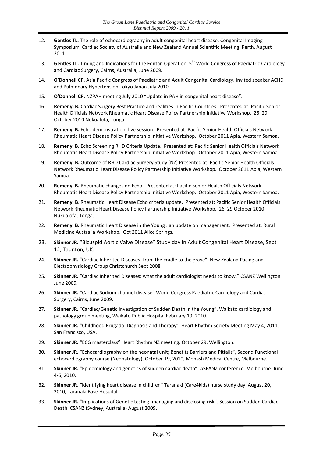- 12. **Gentles TL.** The role of echocardiography in adult congenital heart disease. Congenital Imaging Symposium, Cardiac Society of Australia and New Zealand Annual Scientific Meeting. Perth, August 2011.
- 13. **Gentles TL.** Timing and Indications for the Fontan Operation. 5<sup>th</sup> World Congress of Paediatric Cardiology and Cardiac Surgery, Cairns, Australia, June 2009.
- 14. **O'Donnell CP.** Asia Pacific Congress of Paediatric and Adult Congenital Cardiology. Invited speaker ACHD and Pulmonary Hypertension Tokyo Japan July 2010.
- 15. **O'Donnell CP.** NZPAH meeting July 2010 "Update in PAH in congenital heart disease".
- 16. **Remenyi B.** Cardiac Surgery Best Practice and realities in Pacific Countries. Presented at: Pacific Senior Health Officials Network Rheumatic Heart Disease Policy Partnership Initiative Workshop. 26–29 October 2010 Nukualofa, Tonga.
- 17. **Remenyi B.** Echo demonstration: live session. Presented at: Pacific Senior Health Officials Network Rheumatic Heart Disease Policy Partnership Initiative Workshop. October 2011 Apia, Western Samoa.
- 18. **Remenyi B.** Echo Screening RHD Criteria Update. Presented at: Pacific Senior Health Officials Network Rheumatic Heart Disease Policy Partnership Initiative Workshop. October 2011 Apia, Western Samoa.
- 19. **Remenyi B.** Outcome of RHD Cardiac Surgery Study (NZ) Presented at: Pacific Senior Health Officials Network Rheumatic Heart Disease Policy Partnership Initiative Workshop. October 2011 Apia, Western Samoa.
- 20. **Remenyi B.** Rheumatic changes on Echo. Presented at: Pacific Senior Health Officials Network Rheumatic Heart Disease Policy Partnership Initiative Workshop. October 2011 Apia, Western Samoa.
- 21. **Remenyi B**. Rheumatic Heart Disease Echo criteria update. Presented at: Pacific Senior Health Officials Network Rheumatic Heart Disease Policy Partnership Initiative Workshop. 26–29 October 2010 Nukualofa, Tonga.
- 22. **Remenyi B.** Rheumatic Heart Disease in the Young : an update on management. Presented at: Rural Medicine Australia Workshop. Oct 2011 Alice Springs.
- 23. **Skinner JR.** "Bicuspid Aortic Valve Disease" Study day in Adult Congenital Heart Disease, Sept 12, Taunton, UK.
- 24. **Skinner JR.** "Cardiac Inherited Diseases- from the cradle to the grave". New Zealand Pacing and Electrophysiology Group Christchurch Sept 2008.
- 25. **Skinner JR.** "Cardiac Inherited Diseases: what the adult cardiologist needs to know." CSANZ Wellington June 2009.
- 26. **Skinner JR.** "Cardiac Sodium channel disease" World Congress Paediatric Cardiology and Cardiac Surgery, Cairns, June 2009.
- 27. **Skinner JR.** "Cardiac/Genetic Investigation of Sudden Death in the Young". Waikato cardiology and pathology group meeting, Waikato Public Hospital February 19, 2010.
- 28. **Skinner JR.** "Childhood Brugada: Diagnosis and Therapy". Heart Rhythm Society Meeting May 4, 2011. San Francisco, USA.
- 29. **Skinner JR.** "ECG masterclass" Heart Rhythm NZ meeting. October 29, Wellington.
- 30. **Skinner JR.** "Echocardiography on the neonatal unit; Benefits Barriers and Pitfalls", Second Functional echocardiography course (Neonatology), October 19, 2010, Monash Medical Centre, Melbourne.
- 31. **Skinner JR.** "Epidemiology and genetics of sudden cardiac death". ASEANZ conference. Melbourne. June 4‐6, 2010.
- 32. **Skinner JR.** "Identifying heart disease in children" Taranaki (Care4kids) nurse study day. August 20, 2010, Taranaki Base Hospital.
- 33. **Skinner JR.** "Implications of Genetic testing: managing and disclosing risk". Session on Sudden Cardiac Death. CSANZ (Sydney, Australia) August 2009.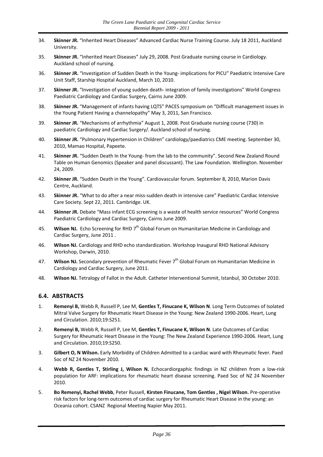- 34. **Skinner JR.** "Inherited Heart Diseases" Advanced Cardiac Nurse Training Course. July 18 2011, Auckland University.
- 35. **Skinner JR.** "Inherited Heart Diseases" July 29, 2008. Post Graduate nursing course in Cardiology. Auckland school of nursing.
- 36. **Skinner JR.** "Investigation of Sudden Death in the Young‐ implications for PICU" Paediatric Intensive Care Unit Staff, Starship Hospital Auckland, March 10, 2010.
- 37. **Skinner JR.** "Investigation of young sudden death‐ integration of family investigations" World Congress Paediatric Cardiology and Cardiac Surgery, Cairns June 2009.
- 38. **Skinner JR.** "Management of infants having LQTS" PACES symposium on "Difficult management issues in the Young Patient Having a channelopathy" May 3, 2011, San Francisco.
- 39. **Skinner JR.** "Mechanisms of arrhythmia" August 1, 2008. Post Graduate nursing course (730) in paediatric Cardiology and Cardiac Surgery/. Auckland school of nursing.
- 40. **Skinner JR.** "Pulmonary Hypertension in Children" cardiology/paediatrics CME meeting. September 30, 2010, Mamao Hospital, Papeete.
- 41. **Skinner JR.** "Sudden Death In the Young‐ from the lab to the community". Second New Zealand Round Table on Human Genomics (Speaker and panel discussant). The Law Foundation. Wellington. November 24, 2009.
- 42. **Skinner JR.** "Sudden Death in the Young". Cardiovascular forum. September 8, 2010, Marion Davis Centre, Auckland.
- 43. **Skinner JR.** "What to do after a near miss-sudden death in intensive care" Paediatric Cardiac Intensive Care Society. Sept 22, 2011. Cambridge. UK.
- 44. **Skinner JR.** Debate "Mass infant ECG screening is a waste of health service resources" World Congress Paediatric Cardiology and Cardiac Surgery, Cairns June 2009.
- 45. **Wilson NJ.** Echo Screening for RHD 7<sup>th</sup> Global Forum on Humanitarian Medicine in Cardiology and Cardiac Surgery, June 2011 .
- 46. **Wilson NJ.** Cardiology and RHD echo standardization. Workshop Inaugural RHD National Advisory Workshop, Darwin, 2010.
- 47. **Wilson NJ.** Secondary prevention of Rheumatic Fever 7<sup>th</sup> Global Forum on Humanitarian Medicine in Cardiology and Cardiac Surgery, June 2011.
- 48. **Wilson NJ.** Tetralogy of Fallot in the Adult. Catheter Interventional Summit, Istanbul, 30 October 2010.

#### <span id="page-35-0"></span>**6.4. ABSTRACTS**

- 1. **Remenyi B,** Webb R, Russell P, Lee M, **Gentles T, Finucane K, Wilson N**. Long Term Outcomes of Isolated Mitral Valve Surgery for Rheumatic Heart Disease in the Young: New Zealand 1990-2006. Heart, Lung and Circulation. 2010;19:S251.
- 2. **Remenyi B,** Webb R, Russell P, Lee M, **Gentles T, Finucane K, Wilson N**. Late Outcomes of Cardiac Surgery for Rheumatic Heart Disease in the Young: The New Zealand Experience 1990-2006. Heart, Lung and Circulation. 2010;19:S250.
- 3. **Gilbert O, N Wilson.** Early Morbidity of Children Admitted to a cardiac ward with Rheumatic fever. Paed Soc of NZ 24 November 2010.
- 4. **Webb R, Gentles T, Stirling J, Wilson N.** Echocardiorgaphic findings in NZ children from a low‐risk population for ARF: implications for rheumatic heart disease screening. Paed Soc of NZ 24 November 2010.
- 5. **Bo Remenyi, Rachel Webb**, Peter Russell, **Kirsten Finucane, Tom Gentles , Nigel Wilson.** Pre‐operative risk factors for long-term outcomes of cardiac surgery for Rheumatic Heart Disease in the young: an Oceania cohort. CSANZ Regional Meeting Napier May 2011.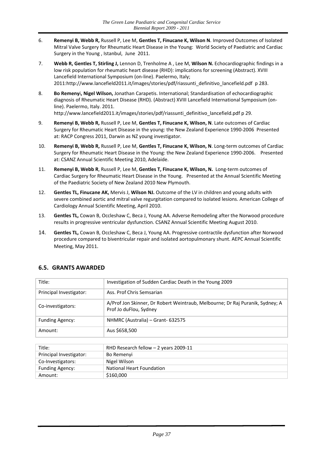- 6. **Remenyi B, Webb R,** Russell P, Lee M, **Gentles T, Finucane K, Wilson N**. Improved Outcomes of Isolated Mitral Valve Surgery for Rheumatic Heart Disease in the Young: World Society of Paediatric and Cardiac Surgery in the Young , Istanbul, June 2011.
- 7. **Webb R, Gentles T, Stirling J,** Lennon D, Trenholme A , Lee M, **Wilson N.** Echocardiographic findings in a low risk population for rheumatic heart disease (RHD): implications for screening (Abstract). XVIII Lancefield International Symposium (on‐line). Paelermo, Italy; 2011[:http://www.lancefield2011.it/images/stories/pdf/riassunti\\_definitivo\\_lancefield.pdf](http://www.lancefield2011.it/images/stories/pdf/riassunti_definitivo_lancefield.pdf) p 283.
- 8. **Bo Remeny**i**, Nigel Wilson,** Jonathan Carapetis. International; Standardisation of echocardiographic diagnosis of Rheumatic Heart Disease (RHD). (Abstract) XVIII Lancefield International Symposium (on‐ line). Paelermo, Italy. 2011. [http://www.lancefield2011.it/images/stories/pdf/riassunti\\_definitivo\\_lancefield.pdf](http://www.lancefield2011.it/images/stories/pdf/riassunti_definitivo_lancefield.pdf) p 29.
- 9. **Remenyi B, Webb R,** Russell P, Lee M, **Gentles T, Finucane K, Wilson, N**. Late outcomes of Cardiac Surgery for Rheumatic Heart Disease in the young: the New Zealand Experience 1990‐2006 Presented at: RACP Congress 2011, Darwin as NZ young investigator.
- 10. **Remenyi B, Webb R,** Russell P, Lee M, **Gentles T, Finucane K, Wilson, N**. Long‐term outcomes of Cardiac Surgery for Rheumatic Heart Disease in the Young: the New Zealand Experience 1990-2006. Presented at: CSANZ Annual Scientific Meeting 2010, Adelaide.
- 11. **Remenyi B, Webb R**, Russell P, Lee M, **Gentles T, Finucane K, Wilson, N.** Long‐term outcomes of Cardiac Surgery for Rheumatic Heart Disease in the Young. Presented at the Annual Scientific Meeting of the Paediatric Society of New Zealand 2010 New Plymouth.
- 12. **Gentles TL, Finucane AK,** Mervis J, **Wilson NJ.** Outcome of the LV in children and young adults with severe combined aortic and mitral valve regurgitation compared to isolated lesions. American College of Cardiology Annual Scientific Meeting, April 2010.
- 13. **Gentles TL,** Cowan B, Occleshaw C, Beca J, Young AA. Adverse Remodeling after the Norwood procedure results in progressive ventricular dysfunction. CSANZ Annual Scientific Meeting August 2010.
- 14. **Gentles TL,** Cowan B, Occleshaw C, Beca J, Young AA. Progressive contractile dysfunction after Norwood procedure compared to biventricular repair and isolated aortopulmonary shunt. AEPC Annual Scientific Meeting, May 2011.

| Title:                  | Investigation of Sudden Cardiac Death in the Young 2009                                                 |
|-------------------------|---------------------------------------------------------------------------------------------------------|
| Principal Investigator: | Ass. Prof Chris Semsarian                                                                               |
| Co-investigators:       | A/Prof Jon Skinner, Dr Robert Weintraub, Melbourne; Dr Raj Puranik, Sydney; A<br>Prof Jo duFlou, Sydney |
| <b>Funding Agency:</b>  | NHMRC (Australia) – Grant-632575                                                                        |
| Amount:                 | Aus \$658,500                                                                                           |
|                         |                                                                                                         |
|                         |                                                                                                         |

#### <span id="page-36-0"></span>**6.5. GRANTS AWARDED**

| Title:                  | RHD Research fellow $-2$ years 2009-11 |
|-------------------------|----------------------------------------|
| Principal Investigator: | Bo Remenyi                             |
| Co-Investigators:       | Nigel Wilson                           |
| <b>Funding Agency:</b>  | National Heart Foundation              |
| Amount:                 | \$160,000                              |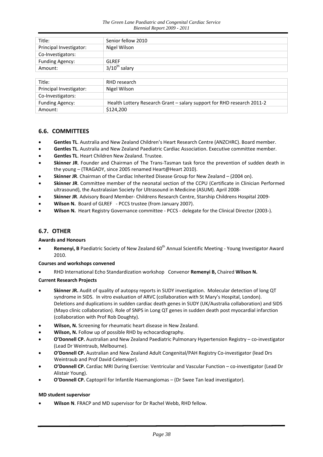| Title:                  | Senior fellow 2010                                                     |
|-------------------------|------------------------------------------------------------------------|
| Principal Investigator: | Nigel Wilson                                                           |
| Co-Investigators:       |                                                                        |
| <b>Funding Agency:</b>  | GLRFF                                                                  |
| Amount:                 | $3/10^{th}$ salary                                                     |
|                         |                                                                        |
| Title:                  | RHD research                                                           |
| Principal Investigator: | Nigel Wilson                                                           |
| Co-Investigators:       |                                                                        |
| <b>Funding Agency:</b>  | Health Lottery Research Grant - salary support for RHD research 2011-2 |
| Amount:                 | \$124,200                                                              |

#### <span id="page-37-0"></span>**6.6. COMMITTEES**

- **Gentles TL**. Australia and New Zealand Children's Heart Research Centre (ANZCHRC). Board member.
- **Gentles TL**. Australia and New Zealand Paediatric Cardiac Association. Executive committee member.
- **Gentles TL**. Heart Children New Zealand. Trustee.
- **Skinner JR**. Founder and Chairman of The Trans‐Tasman task force the prevention of sudden death in the young – (TRAGADY, since 2005 renamed Heart@Heart 2010).
- **Skinner JR**. Chairman of the Cardiac Inherited Disease Group for New Zealand (2004 on).
- **Skinner JR**. Committee member of the neonatal section of the CCPU (Certificate in Clinician Performed ultrasound), the Australasian Society for Ultrasound in Medicine (ASUM). April 2008‐
- **Skinner JR**. Advisory Board Member‐ Childrens Research Centre, Starship Childrens Hospital 2009‐
- **Wilson N.** Board of GLREF PCCS trustee (from January 2007).
- **Wilson N.** Heart Registry Governance committee ‐ PCCS ‐ delegate for the Clinical Director (2003‐).

#### <span id="page-37-1"></span>**6.7. OTHER**

#### **Awards and Honours**

**Remenyi, B** Paediatric Society of New Zealand 60<sup>th</sup> Annual Scientific Meeting - Young Investigator Award 2010.

#### **Courses and workshops convened**

RHD International Echo Standardization workshop Convenor **Remenyi B,** Chaired **Wilson N.**

#### **Current Research Projects**

- **Skinner JR.** Audit of quality of autopsy reports in SUDY investigation. Molecular detection of long QT syndrome in SIDS. In vitro evaluation of ARVC (collaboration with St Mary's Hospital, London). Deletions and duplications in sudden cardiac death genes in SUDY (UK/Australia collaboration) and SIDS (Mayo clinic collaboration). Role of SNPS in Long QT genes in sudden death post myocardial infarction (collaboration with Prof Rob Doughty).
- **Wilson, N.** Screening for rheumatic heart disease in New Zealand.
- **Wilson, N.** Follow up of possible RHD by echocardiography.
- **O'Donnell CP.** Australian and New Zealand Paediatric Pulmonary Hypertension Registry co‐investigator (Lead Dr Weintraub, Melbourne).
- **O'Donnell CP.** Australian and New Zealand Adult Congenital/PAH Registry Co‐investigator (lead Drs Weintraub and Prof David Celemajer).
- **O'Donnell CP.** Cardiac MRI During Exercise: Ventricular and Vascular Function co‐investigator (Lead Dr Alistair Young).
- **O'Donnell CP.** Captopril for Infantile Haemangiomas (Dr Swee Tan lead investigator).

#### **MD student supervisor**

**Wilson N**. FRACP and MD supervisor for Dr Rachel Webb, RHD fellow.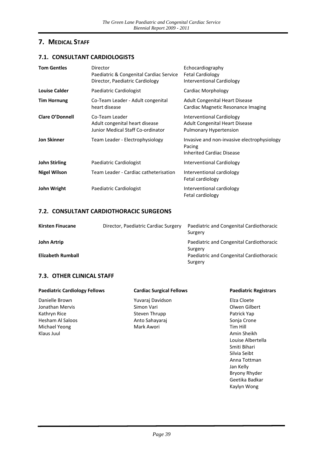### <span id="page-38-0"></span>**7. MEDICAL STAFF**

#### <span id="page-38-1"></span>**7.1. CONSULTANT CARDIOLOGISTS**

| <b>Tom Gentles</b>     | Director<br>Paediatric & Congenital Cardiac Service<br>Director, Paediatric Cardiology | Echocardiography<br><b>Fetal Cardiology</b><br><b>Interventional Cardiology</b>                     |
|------------------------|----------------------------------------------------------------------------------------|-----------------------------------------------------------------------------------------------------|
| <b>Louise Calder</b>   | Paediatric Cardiologist                                                                | Cardiac Morphology                                                                                  |
| <b>Tim Hornung</b>     | Co-Team Leader - Adult congenital<br>heart disease                                     | <b>Adult Congenital Heart Disease</b><br>Cardiac Magnetic Resonance Imaging                         |
| <b>Clare O'Donnell</b> | Co-Team Leader<br>Adult congenital heart disease<br>Junior Medical Staff Co-ordinator  | Interventional Cardiology<br><b>Adult Congenital Heart Disease</b><br><b>Pulmonary Hypertension</b> |
| <b>Jon Skinner</b>     | Team Leader - Electrophysiology                                                        | Invasive and non-invasive electrophysiology<br>Pacing<br><b>Inherited Cardiac Disease</b>           |
| <b>John Stirling</b>   | Paediatric Cardiologist                                                                | <b>Interventional Cardiology</b>                                                                    |
| Nigel Wilson           | Team Leader - Cardiac catheterisation                                                  | Interventional cardiology<br>Fetal cardiology                                                       |
| John Wright            | Paediatric Cardiologist                                                                | Interventional cardiology<br>Fetal cardiology                                                       |

#### <span id="page-38-2"></span>**7.2. CONSULTANT CARDIOTHORACIC SURGEONS**

| <b>Kirsten Finucane</b> | Director, Paediatric Cardiac Surgery | Paediatric and Congenital Cardiothoracic<br>Surgery |
|-------------------------|--------------------------------------|-----------------------------------------------------|
| John Artrip             |                                      | Paediatric and Congenital Cardiothoracic<br>Surgery |
| Elizabeth Rumball       |                                      | Paediatric and Congenital Cardiothoracic<br>Surgery |

#### <span id="page-38-3"></span>**7.3. OTHER CLINICAL STAFF**

| <b>Paediatric Cardiology Fellows</b> | <b>Cardiac Surgical Fellows</b> | <b>Paediatric Registrars</b> |
|--------------------------------------|---------------------------------|------------------------------|
| Danielle Brown                       | Yuvaraj Davidson                | Elza Cloete                  |
| Jonathan Mervis                      | Simon Vari                      | Olwen Gilbert                |
| Kathryn Rice                         | Steven Thrupp                   | Patrick Yap                  |
| Hesham Al Saloos                     | Anto Sahayaraj                  | Sonja Crone                  |
| Michael Yeong                        | Mark Awori                      | Tim Hill                     |
| Klaus Juul                           |                                 | Amin Sheikh                  |
|                                      |                                 | Louise Albertella            |
|                                      |                                 | Smiti Bihari                 |
|                                      |                                 | Silvia Seibt                 |
|                                      |                                 | Anna Tottman                 |
|                                      |                                 | Jan Kelly                    |
|                                      |                                 | Bryony Rhyder                |
|                                      |                                 | Geetika Badkar               |
|                                      |                                 | Kaylyn Wong                  |